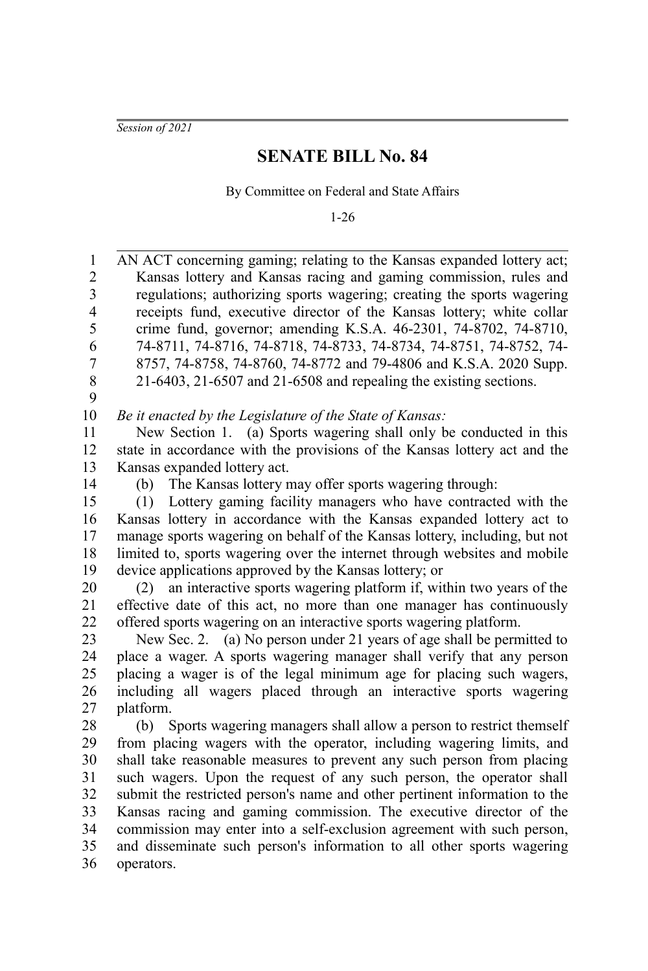*Session of 2021*

## **SENATE BILL No. 84**

By Committee on Federal and State Affairs

1-26

AN ACT concerning gaming; relating to the Kansas expanded lottery act; Kansas lottery and Kansas racing and gaming commission, rules and regulations; authorizing sports wagering; creating the sports wagering receipts fund, executive director of the Kansas lottery; white collar crime fund, governor; amending K.S.A. 46-2301, 74-8702, 74-8710, 74-8711, 74-8716, 74-8718, 74-8733, 74-8734, 74-8751, 74-8752, 74- 8757, 74-8758, 74-8760, 74-8772 and 79-4806 and K.S.A. 2020 Supp. 21-6403, 21-6507 and 21-6508 and repealing the existing sections. *Be it enacted by the Legislature of the State of Kansas:* New Section 1. (a) Sports wagering shall only be conducted in this state in accordance with the provisions of the Kansas lottery act and the Kansas expanded lottery act. (b) The Kansas lottery may offer sports wagering through: (1) Lottery gaming facility managers who have contracted with the Kansas lottery in accordance with the Kansas expanded lottery act to manage sports wagering on behalf of the Kansas lottery, including, but not limited to, sports wagering over the internet through websites and mobile device applications approved by the Kansas lottery; or (2) an interactive sports wagering platform if, within two years of the effective date of this act, no more than one manager has continuously offered sports wagering on an interactive sports wagering platform. New Sec. 2. (a) No person under 21 years of age shall be permitted to place a wager. A sports wagering manager shall verify that any person placing a wager is of the legal minimum age for placing such wagers, including all wagers placed through an interactive sports wagering platform. (b) Sports wagering managers shall allow a person to restrict themself from placing wagers with the operator, including wagering limits, and shall take reasonable measures to prevent any such person from placing such wagers. Upon the request of any such person, the operator shall submit the restricted person's name and other pertinent information to the Kansas racing and gaming commission. The executive director of the commission may enter into a self-exclusion agreement with such person, and disseminate such person's information to all other sports wagering operators. 1 2 3 4 5 6 7 8 9 10 11 12 13 14 15 16 17 18 19 20 21 22 23 24 25 26 27 28 29 30 31 32 33 34 35 36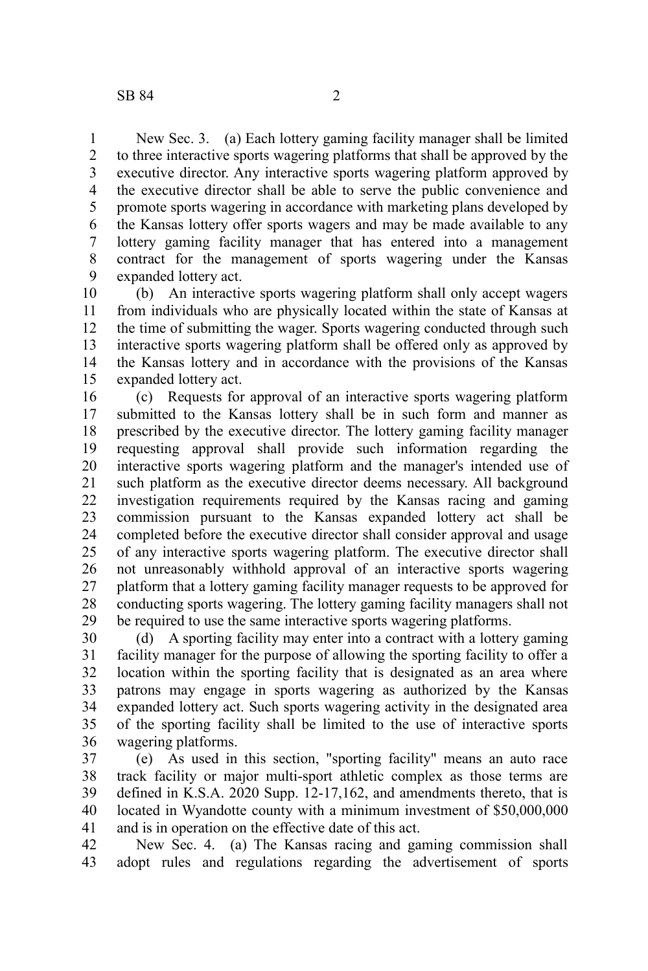New Sec. 3. (a) Each lottery gaming facility manager shall be limited to three interactive sports wagering platforms that shall be approved by the executive director. Any interactive sports wagering platform approved by the executive director shall be able to serve the public convenience and promote sports wagering in accordance with marketing plans developed by the Kansas lottery offer sports wagers and may be made available to any lottery gaming facility manager that has entered into a management contract for the management of sports wagering under the Kansas expanded lottery act. 1 2 3 4 5 6 7 8 9

(b) An interactive sports wagering platform shall only accept wagers from individuals who are physically located within the state of Kansas at the time of submitting the wager. Sports wagering conducted through such interactive sports wagering platform shall be offered only as approved by the Kansas lottery and in accordance with the provisions of the Kansas expanded lottery act. 10 11 12 13 14 15

(c) Requests for approval of an interactive sports wagering platform submitted to the Kansas lottery shall be in such form and manner as prescribed by the executive director. The lottery gaming facility manager requesting approval shall provide such information regarding the interactive sports wagering platform and the manager's intended use of such platform as the executive director deems necessary. All background investigation requirements required by the Kansas racing and gaming commission pursuant to the Kansas expanded lottery act shall be completed before the executive director shall consider approval and usage of any interactive sports wagering platform. The executive director shall not unreasonably withhold approval of an interactive sports wagering platform that a lottery gaming facility manager requests to be approved for conducting sports wagering. The lottery gaming facility managers shall not be required to use the same interactive sports wagering platforms. 16 17 18 19 20 21 22 23 24 25 26 27 28 29

(d) A sporting facility may enter into a contract with a lottery gaming facility manager for the purpose of allowing the sporting facility to offer a location within the sporting facility that is designated as an area where patrons may engage in sports wagering as authorized by the Kansas expanded lottery act. Such sports wagering activity in the designated area of the sporting facility shall be limited to the use of interactive sports wagering platforms. 30 31 32 33 34 35 36

(e) As used in this section, "sporting facility" means an auto race track facility or major multi-sport athletic complex as those terms are defined in K.S.A. 2020 Supp. 12-17,162, and amendments thereto, that is located in Wyandotte county with a minimum investment of \$50,000,000 and is in operation on the effective date of this act. 37 38 39 40 41

New Sec. 4. (a) The Kansas racing and gaming commission shall adopt rules and regulations regarding the advertisement of sports 42 43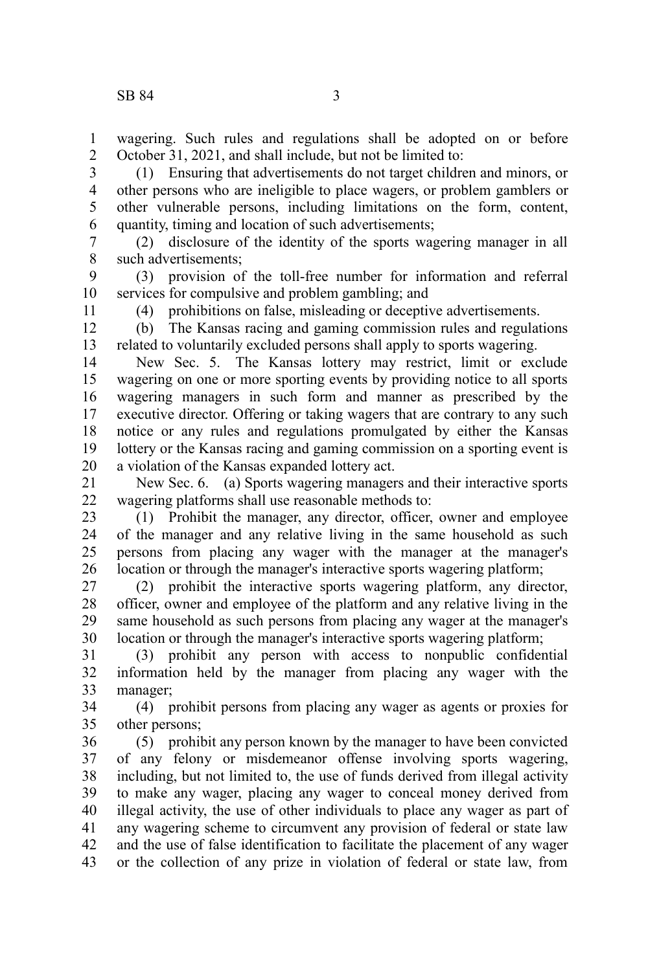wagering. Such rules and regulations shall be adopted on or before October 31, 2021, and shall include, but not be limited to: 1 2

(1) Ensuring that advertisements do not target children and minors, or other persons who are ineligible to place wagers, or problem gamblers or other vulnerable persons, including limitations on the form, content, quantity, timing and location of such advertisements; 3 4 5 6

(2) disclosure of the identity of the sports wagering manager in all such advertisements; 7 8

(3) provision of the toll-free number for information and referral services for compulsive and problem gambling; and 9 10

11

(4) prohibitions on false, misleading or deceptive advertisements.

(b) The Kansas racing and gaming commission rules and regulations related to voluntarily excluded persons shall apply to sports wagering. 12 13

New Sec. 5. The Kansas lottery may restrict, limit or exclude wagering on one or more sporting events by providing notice to all sports wagering managers in such form and manner as prescribed by the executive director. Offering or taking wagers that are contrary to any such notice or any rules and regulations promulgated by either the Kansas lottery or the Kansas racing and gaming commission on a sporting event is a violation of the Kansas expanded lottery act. 14 15 16 17 18 19 20

New Sec. 6. (a) Sports wagering managers and their interactive sports wagering platforms shall use reasonable methods to: 21 22

(1) Prohibit the manager, any director, officer, owner and employee of the manager and any relative living in the same household as such persons from placing any wager with the manager at the manager's location or through the manager's interactive sports wagering platform; 23 24 25 26

(2) prohibit the interactive sports wagering platform, any director, officer, owner and employee of the platform and any relative living in the same household as such persons from placing any wager at the manager's location or through the manager's interactive sports wagering platform; 27 28 29 30

(3) prohibit any person with access to nonpublic confidential information held by the manager from placing any wager with the manager; 31 32 33

(4) prohibit persons from placing any wager as agents or proxies for other persons; 34 35

(5) prohibit any person known by the manager to have been convicted of any felony or misdemeanor offense involving sports wagering, including, but not limited to, the use of funds derived from illegal activity to make any wager, placing any wager to conceal money derived from illegal activity, the use of other individuals to place any wager as part of any wagering scheme to circumvent any provision of federal or state law and the use of false identification to facilitate the placement of any wager or the collection of any prize in violation of federal or state law, from 36 37 38 39 40 41 42 43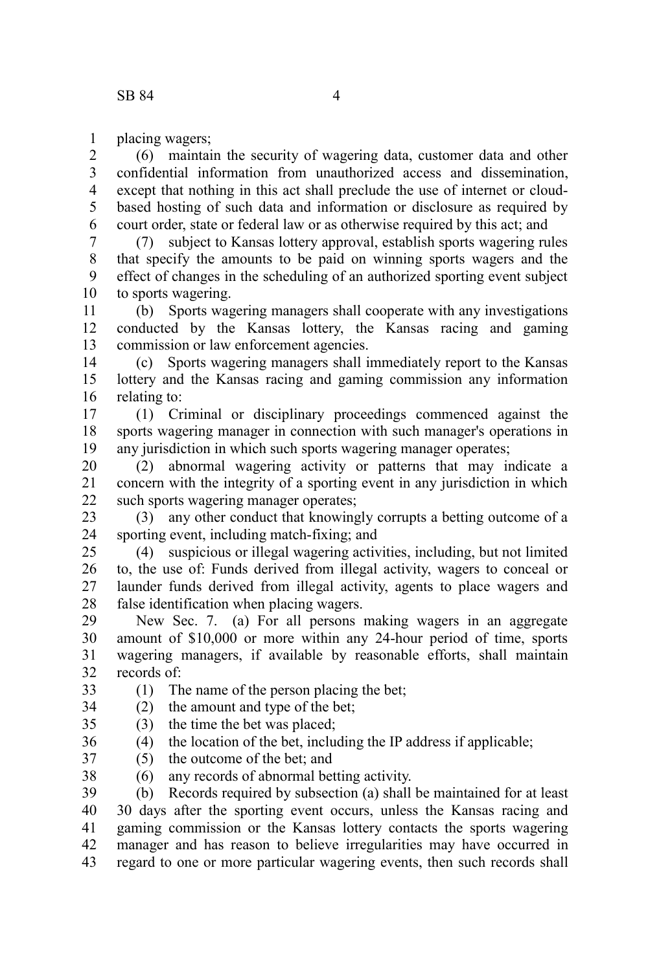placing wagers; 1

(6) maintain the security of wagering data, customer data and other confidential information from unauthorized access and dissemination, except that nothing in this act shall preclude the use of internet or cloudbased hosting of such data and information or disclosure as required by court order, state or federal law or as otherwise required by this act; and 2 3 4 5 6

(7) subject to Kansas lottery approval, establish sports wagering rules that specify the amounts to be paid on winning sports wagers and the effect of changes in the scheduling of an authorized sporting event subject to sports wagering. 7 8 9 10

(b) Sports wagering managers shall cooperate with any investigations conducted by the Kansas lottery, the Kansas racing and gaming commission or law enforcement agencies. 11 12 13

(c) Sports wagering managers shall immediately report to the Kansas lottery and the Kansas racing and gaming commission any information relating to: 14 15 16

(1) Criminal or disciplinary proceedings commenced against the sports wagering manager in connection with such manager's operations in any jurisdiction in which such sports wagering manager operates; 17 18 19

(2) abnormal wagering activity or patterns that may indicate a concern with the integrity of a sporting event in any jurisdiction in which such sports wagering manager operates; 20 21 22

(3) any other conduct that knowingly corrupts a betting outcome of a sporting event, including match-fixing; and 23 24

(4) suspicious or illegal wagering activities, including, but not limited to, the use of: Funds derived from illegal activity, wagers to conceal or launder funds derived from illegal activity, agents to place wagers and false identification when placing wagers. 25 26 27 28

New Sec. 7. (a) For all persons making wagers in an aggregate amount of \$10,000 or more within any 24-hour period of time, sports wagering managers, if available by reasonable efforts, shall maintain records of: 29 30 31 32

(1) The name of the person placing the bet; 33

(2) the amount and type of the bet; 34

(3) the time the bet was placed; 35

 $(4)$  the location of the bet, including the IP address if applicable; 36

(5) the outcome of the bet; and 37

(6) any records of abnormal betting activity. 38

(b) Records required by subsection (a) shall be maintained for at least 30 days after the sporting event occurs, unless the Kansas racing and gaming commission or the Kansas lottery contacts the sports wagering manager and has reason to believe irregularities may have occurred in regard to one or more particular wagering events, then such records shall 39 40 41 42 43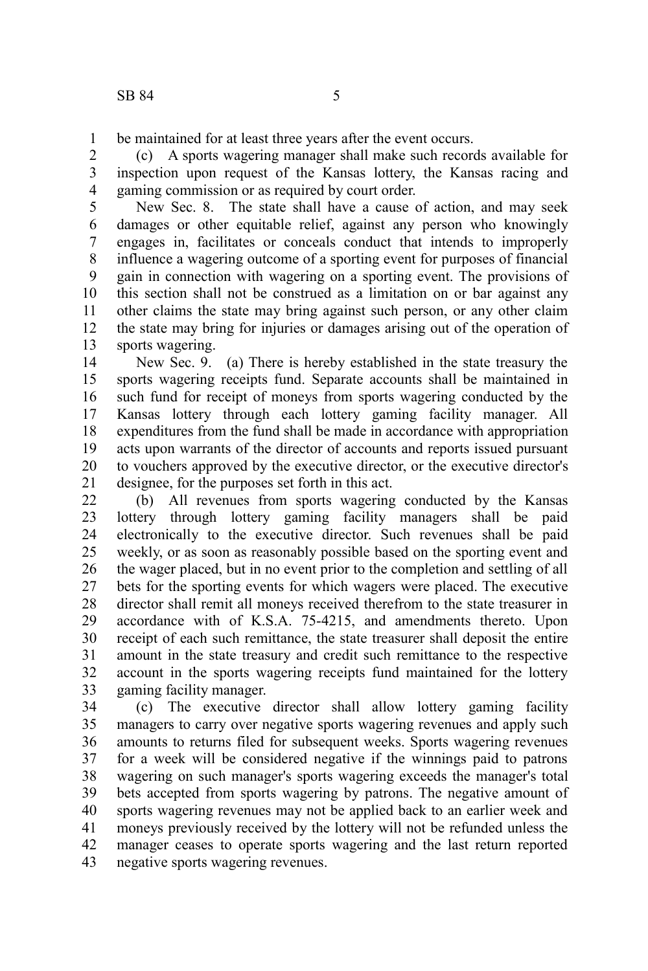be maintained for at least three years after the event occurs. 1

(c) A sports wagering manager shall make such records available for inspection upon request of the Kansas lottery, the Kansas racing and gaming commission or as required by court order. 2 3 4

New Sec. 8. The state shall have a cause of action, and may seek damages or other equitable relief, against any person who knowingly engages in, facilitates or conceals conduct that intends to improperly influence a wagering outcome of a sporting event for purposes of financial gain in connection with wagering on a sporting event. The provisions of this section shall not be construed as a limitation on or bar against any other claims the state may bring against such person, or any other claim the state may bring for injuries or damages arising out of the operation of sports wagering. 5 6 7 8 9 10 11 12 13

New Sec. 9. (a) There is hereby established in the state treasury the sports wagering receipts fund. Separate accounts shall be maintained in such fund for receipt of moneys from sports wagering conducted by the Kansas lottery through each lottery gaming facility manager. All expenditures from the fund shall be made in accordance with appropriation acts upon warrants of the director of accounts and reports issued pursuant to vouchers approved by the executive director, or the executive director's designee, for the purposes set forth in this act. 14 15 16 17 18 19 20 21

(b) All revenues from sports wagering conducted by the Kansas lottery through lottery gaming facility managers shall be paid electronically to the executive director. Such revenues shall be paid weekly, or as soon as reasonably possible based on the sporting event and the wager placed, but in no event prior to the completion and settling of all bets for the sporting events for which wagers were placed. The executive director shall remit all moneys received therefrom to the state treasurer in accordance with of K.S.A. 75-4215, and amendments thereto. Upon receipt of each such remittance, the state treasurer shall deposit the entire amount in the state treasury and credit such remittance to the respective account in the sports wagering receipts fund maintained for the lottery gaming facility manager. 22 23 24 25 26 27 28 29 30 31 32 33

(c) The executive director shall allow lottery gaming facility managers to carry over negative sports wagering revenues and apply such amounts to returns filed for subsequent weeks. Sports wagering revenues for a week will be considered negative if the winnings paid to patrons wagering on such manager's sports wagering exceeds the manager's total bets accepted from sports wagering by patrons. The negative amount of sports wagering revenues may not be applied back to an earlier week and moneys previously received by the lottery will not be refunded unless the manager ceases to operate sports wagering and the last return reported negative sports wagering revenues. 34 35 36 37 38 39 40 41 42 43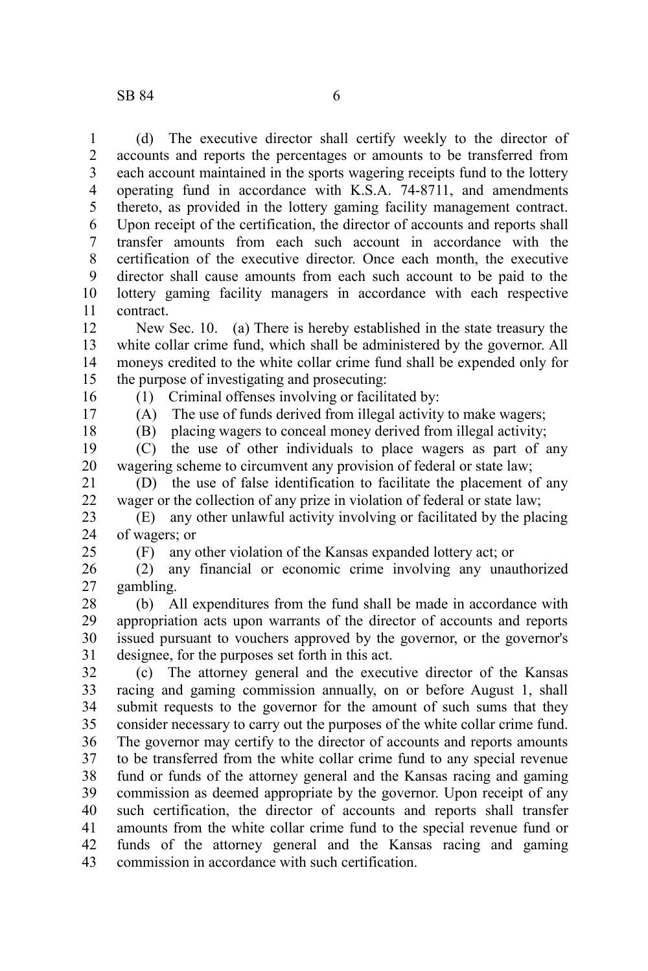(d) The executive director shall certify weekly to the director of accounts and reports the percentages or amounts to be transferred from each account maintained in the sports wagering receipts fund to the lottery operating fund in accordance with K.S.A. 74-8711, and amendments thereto, as provided in the lottery gaming facility management contract. Upon receipt of the certification, the director of accounts and reports shall transfer amounts from each such account in accordance with the certification of the executive director. Once each month, the executive director shall cause amounts from each such account to be paid to the lottery gaming facility managers in accordance with each respective contract. 1 2 3 4 5 6 7 8 9 10 11

New Sec. 10. (a) There is hereby established in the state treasury the white collar crime fund, which shall be administered by the governor. All moneys credited to the white collar crime fund shall be expended only for the purpose of investigating and prosecuting: 12 13 14 15

16

(1) Criminal offenses involving or facilitated by:

17

(A) The use of funds derived from illegal activity to make wagers;

18

(B) placing wagers to conceal money derived from illegal activity;

(C) the use of other individuals to place wagers as part of any wagering scheme to circumvent any provision of federal or state law; 19 20

(D) the use of false identification to facilitate the placement of any wager or the collection of any prize in violation of federal or state law; 21 22

(E) any other unlawful activity involving or facilitated by the placing of wagers; or 23 24

25

(F) any other violation of the Kansas expanded lottery act; or

(2) any financial or economic crime involving any unauthorized gambling. 26 27

(b) All expenditures from the fund shall be made in accordance with appropriation acts upon warrants of the director of accounts and reports issued pursuant to vouchers approved by the governor, or the governor's designee, for the purposes set forth in this act. 28 29 30 31

(c) The attorney general and the executive director of the Kansas racing and gaming commission annually, on or before August 1, shall submit requests to the governor for the amount of such sums that they consider necessary to carry out the purposes of the white collar crime fund. The governor may certify to the director of accounts and reports amounts to be transferred from the white collar crime fund to any special revenue fund or funds of the attorney general and the Kansas racing and gaming commission as deemed appropriate by the governor. Upon receipt of any such certification, the director of accounts and reports shall transfer amounts from the white collar crime fund to the special revenue fund or funds of the attorney general and the Kansas racing and gaming commission in accordance with such certification. 32 33 34 35 36 37 38 39 40 41 42 43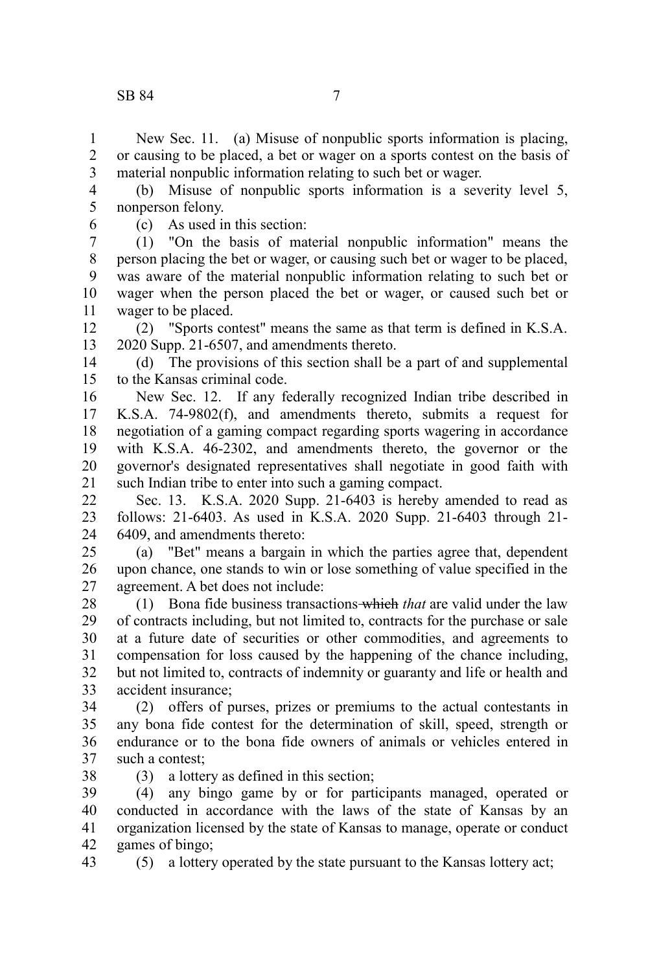New Sec. 11. (a) Misuse of nonpublic sports information is placing, or causing to be placed, a bet or wager on a sports contest on the basis of material nonpublic information relating to such bet or wager. 1 2 3

(b) Misuse of nonpublic sports information is a severity level 5, nonperson felony. 4 5

6

(c) As used in this section:

(1) "On the basis of material nonpublic information" means the person placing the bet or wager, or causing such bet or wager to be placed, was aware of the material nonpublic information relating to such bet or wager when the person placed the bet or wager, or caused such bet or wager to be placed. 7 8 9 10 11

(2) "Sports contest" means the same as that term is defined in K.S.A. 2020 Supp. 21-6507, and amendments thereto. 12 13

(d) The provisions of this section shall be a part of and supplemental to the Kansas criminal code. 14 15

New Sec. 12. If any federally recognized Indian tribe described in K.S.A. 74-9802(f), and amendments thereto, submits a request for negotiation of a gaming compact regarding sports wagering in accordance with K.S.A. 46-2302, and amendments thereto, the governor or the governor's designated representatives shall negotiate in good faith with such Indian tribe to enter into such a gaming compact. 16 17 18 19 20 21

Sec. 13. K.S.A. 2020 Supp. 21-6403 is hereby amended to read as follows: 21-6403. As used in K.S.A. 2020 Supp. 21-6403 through 21- 6409, and amendments thereto:  $22$ 23 24

(a) "Bet" means a bargain in which the parties agree that, dependent upon chance, one stands to win or lose something of value specified in the agreement. A bet does not include: 25 26 27

(1) Bona fide business transactions which *that* are valid under the law of contracts including, but not limited to, contracts for the purchase or sale at a future date of securities or other commodities, and agreements to compensation for loss caused by the happening of the chance including, but not limited to, contracts of indemnity or guaranty and life or health and accident insurance; 28 29 30 31 32 33

(2) offers of purses, prizes or premiums to the actual contestants in any bona fide contest for the determination of skill, speed, strength or endurance or to the bona fide owners of animals or vehicles entered in such a contest: 34 35 36 37 38

(3) a lottery as defined in this section;

(4) any bingo game by or for participants managed, operated or conducted in accordance with the laws of the state of Kansas by an organization licensed by the state of Kansas to manage, operate or conduct games of bingo; 39 40 41 42

(5) a lottery operated by the state pursuant to the Kansas lottery act; 43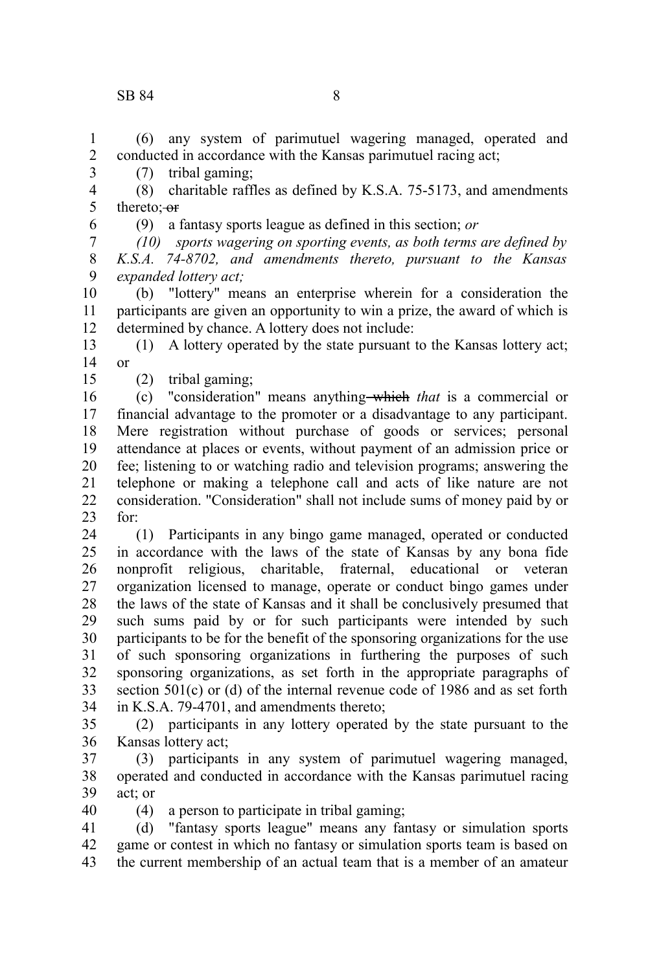3

6

15

(6) any system of parimutuel wagering managed, operated and conducted in accordance with the Kansas parimutuel racing act; 1 2

(7) tribal gaming;

(8) charitable raffles as defined by K.S.A. 75-5173, and amendments thereto; or 4 5

(9) a fantasy sports league as defined in this section; *or*

*(10) sports wagering on sporting events, as both terms are defined by K.S.A. 74-8702, and amendments thereto, pursuant to the Kansas expanded lottery act;* 7 8 9

(b) "lottery" means an enterprise wherein for a consideration the participants are given an opportunity to win a prize, the award of which is determined by chance. A lottery does not include: 10 11 12

(1) A lottery operated by the state pursuant to the Kansas lottery act; or 13 14

(2) tribal gaming;

(c) "consideration" means anything which *that* is a commercial or financial advantage to the promoter or a disadvantage to any participant. Mere registration without purchase of goods or services; personal attendance at places or events, without payment of an admission price or fee; listening to or watching radio and television programs; answering the telephone or making a telephone call and acts of like nature are not consideration. "Consideration" shall not include sums of money paid by or for: 16 17 18 19 20 21 22 23

(1) Participants in any bingo game managed, operated or conducted in accordance with the laws of the state of Kansas by any bona fide nonprofit religious, charitable, fraternal, educational or veteran organization licensed to manage, operate or conduct bingo games under the laws of the state of Kansas and it shall be conclusively presumed that such sums paid by or for such participants were intended by such participants to be for the benefit of the sponsoring organizations for the use of such sponsoring organizations in furthering the purposes of such sponsoring organizations, as set forth in the appropriate paragraphs of section  $501(c)$  or (d) of the internal revenue code of 1986 and as set forth in K.S.A. 79-4701, and amendments thereto; 24 25 26 27 28 29 30 31 32 33 34

(2) participants in any lottery operated by the state pursuant to the Kansas lottery act; 35 36

- (3) participants in any system of parimutuel wagering managed, operated and conducted in accordance with the Kansas parimutuel racing act; or 37 38 39 40
	- (4) a person to participate in tribal gaming;

(d) "fantasy sports league" means any fantasy or simulation sports game or contest in which no fantasy or simulation sports team is based on the current membership of an actual team that is a member of an amateur 41 42 43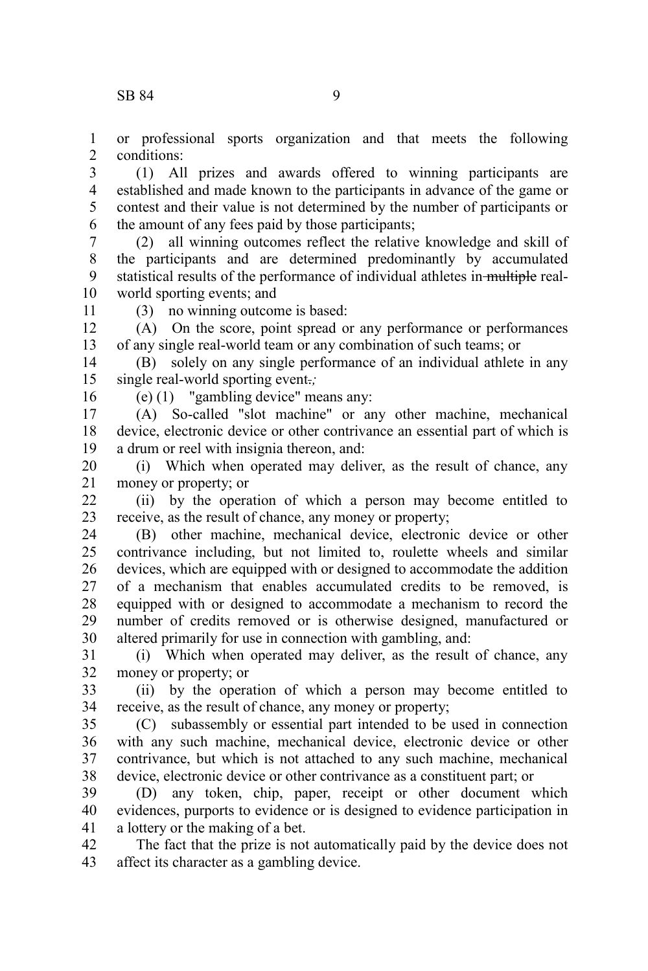or professional sports organization and that meets the following conditions: 1  $\mathcal{L}$ 

(1) All prizes and awards offered to winning participants are established and made known to the participants in advance of the game or contest and their value is not determined by the number of participants or the amount of any fees paid by those participants; 3 4 5 6

(2) all winning outcomes reflect the relative knowledge and skill of the participants and are determined predominantly by accumulated statistical results of the performance of individual athletes in multiple realworld sporting events; and 7 8 9 10

11

(3) no winning outcome is based:

(A) On the score, point spread or any performance or performances of any single real-world team or any combination of such teams; or 12 13

(B) solely on any single performance of an individual athlete in any single real-world sporting event.*;* 14 15

16

(e) (1) "gambling device" means any:

(A) So-called "slot machine" or any other machine, mechanical device, electronic device or other contrivance an essential part of which is a drum or reel with insignia thereon, and: 17 18 19

(i) Which when operated may deliver, as the result of chance, any money or property; or 20 21

(ii) by the operation of which a person may become entitled to receive, as the result of chance, any money or property;  $22$ 23

(B) other machine, mechanical device, electronic device or other contrivance including, but not limited to, roulette wheels and similar devices, which are equipped with or designed to accommodate the addition of a mechanism that enables accumulated credits to be removed, is equipped with or designed to accommodate a mechanism to record the number of credits removed or is otherwise designed, manufactured or altered primarily for use in connection with gambling, and: 24 25 26 27 28 29 30

(i) Which when operated may deliver, as the result of chance, any money or property; or 31 32

(ii) by the operation of which a person may become entitled to receive, as the result of chance, any money or property; 33 34

(C) subassembly or essential part intended to be used in connection with any such machine, mechanical device, electronic device or other contrivance, but which is not attached to any such machine, mechanical device, electronic device or other contrivance as a constituent part; or 35 36 37 38

(D) any token, chip, paper, receipt or other document which evidences, purports to evidence or is designed to evidence participation in a lottery or the making of a bet. 39 40 41

The fact that the prize is not automatically paid by the device does not affect its character as a gambling device. 42 43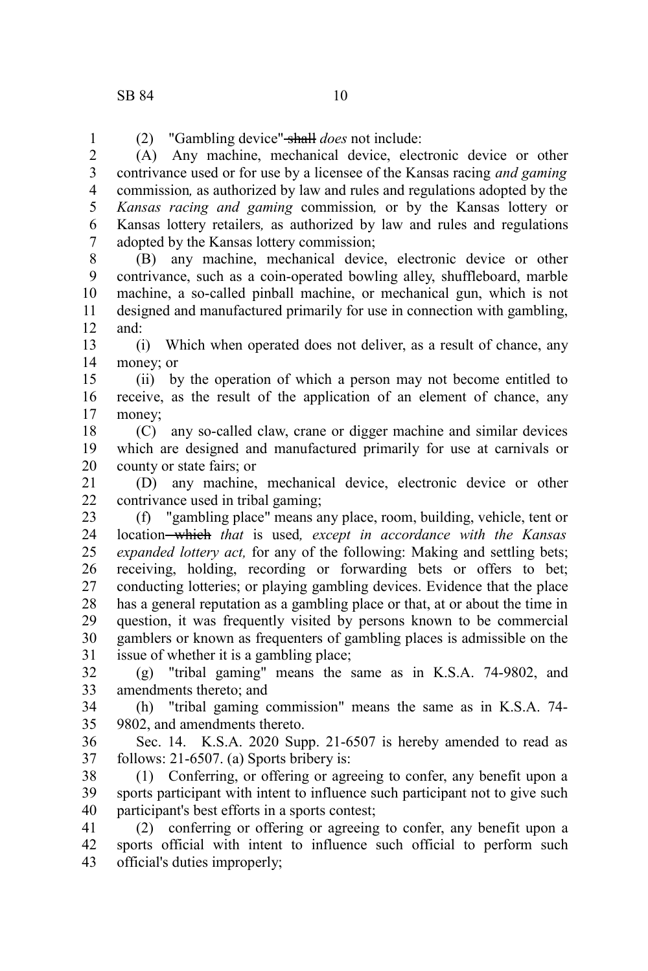(2) "Gambling device" shall *does* not include: 1

(A) Any machine, mechanical device, electronic device or other contrivance used or for use by a licensee of the Kansas racing *and gaming* commission*,* as authorized by law and rules and regulations adopted by the *Kansas racing and gaming* commission*,* or by the Kansas lottery or Kansas lottery retailers*,* as authorized by law and rules and regulations adopted by the Kansas lottery commission; 2 3 4 5 6 7

(B) any machine, mechanical device, electronic device or other contrivance, such as a coin-operated bowling alley, shuffleboard, marble machine, a so-called pinball machine, or mechanical gun, which is not designed and manufactured primarily for use in connection with gambling, and: 8 9 10 11 12

(i) Which when operated does not deliver, as a result of chance, any money; or 13 14

(ii) by the operation of which a person may not become entitled to receive, as the result of the application of an element of chance, any money; 15 16 17

(C) any so-called claw, crane or digger machine and similar devices which are designed and manufactured primarily for use at carnivals or county or state fairs; or 18 19 20

(D) any machine, mechanical device, electronic device or other contrivance used in tribal gaming; 21 22

(f) "gambling place" means any place, room, building, vehicle, tent or location which *that* is used*, except in accordance with the Kansas expanded lottery act,* for any of the following: Making and settling bets; receiving, holding, recording or forwarding bets or offers to bet; conducting lotteries; or playing gambling devices. Evidence that the place has a general reputation as a gambling place or that, at or about the time in question, it was frequently visited by persons known to be commercial gamblers or known as frequenters of gambling places is admissible on the issue of whether it is a gambling place; 23 24 25 26 27 28 29 30 31

(g) "tribal gaming" means the same as in K.S.A. 74-9802, and amendments thereto; and 32 33

(h) "tribal gaming commission" means the same as in K.S.A. 74- 9802, and amendments thereto. 34 35

Sec. 14. K.S.A. 2020 Supp. 21-6507 is hereby amended to read as follows: 21-6507. (a) Sports bribery is: 36 37

(1) Conferring, or offering or agreeing to confer, any benefit upon a sports participant with intent to influence such participant not to give such participant's best efforts in a sports contest; 38 39 40

(2) conferring or offering or agreeing to confer, any benefit upon a sports official with intent to influence such official to perform such official's duties improperly; 41 42 43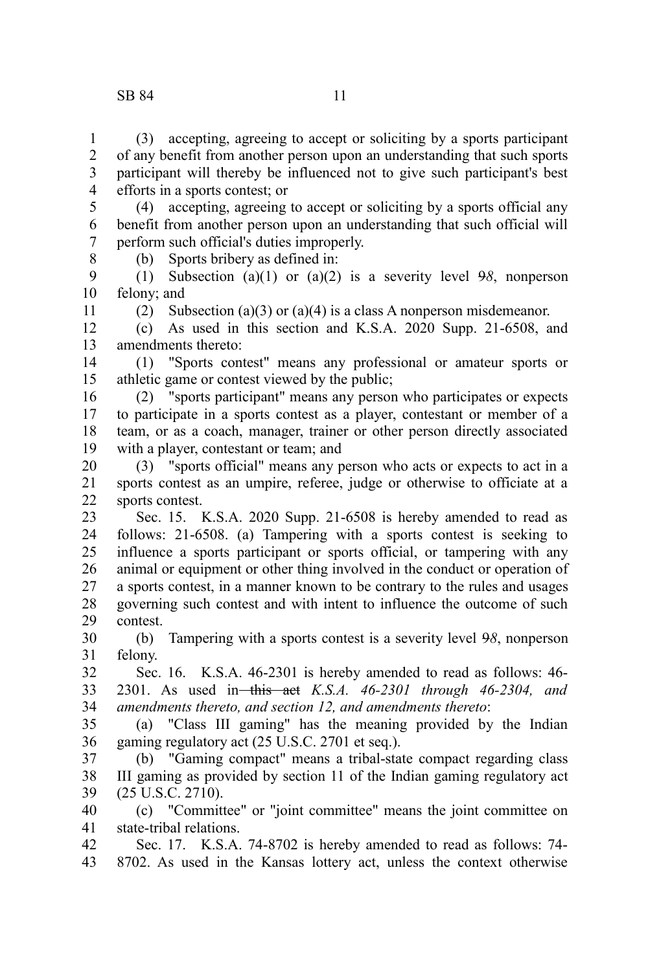## SB 84 11

11

(3) accepting, agreeing to accept or soliciting by a sports participant of any benefit from another person upon an understanding that such sports participant will thereby be influenced not to give such participant's best efforts in a sports contest; or 1 2 3 4

(4) accepting, agreeing to accept or soliciting by a sports official any benefit from another person upon an understanding that such official will perform such official's duties improperly. 5 6 7 8

(b) Sports bribery as defined in:

(1) Subsection (a)(1) or (a)(2) is a severity level 9*8*, nonperson felony; and 9 10

(2) Subsection (a)(3) or (a)(4) is a class A nonperson misdemeanor.

(c) As used in this section and K.S.A. 2020 Supp. 21-6508, and amendments thereto: 12 13

(1) "Sports contest" means any professional or amateur sports or athletic game or contest viewed by the public; 14 15

(2) "sports participant" means any person who participates or expects to participate in a sports contest as a player, contestant or member of a team, or as a coach, manager, trainer or other person directly associated with a player, contestant or team; and 16 17 18 19

(3) "sports official" means any person who acts or expects to act in a sports contest as an umpire, referee, judge or otherwise to officiate at a sports contest. 20 21 22

Sec. 15. K.S.A. 2020 Supp. 21-6508 is hereby amended to read as follows: 21-6508. (a) Tampering with a sports contest is seeking to influence a sports participant or sports official, or tampering with any animal or equipment or other thing involved in the conduct or operation of a sports contest, in a manner known to be contrary to the rules and usages governing such contest and with intent to influence the outcome of such contest. 23 24 25 26 27 28 29

(b) Tampering with a sports contest is a severity level 9*8*, nonperson felony. 30 31

Sec. 16. K.S.A. 46-2301 is hereby amended to read as follows: 46- 2301. As used in this act *K.S.A. 46-2301 through 46-2304, and amendments thereto, and section 12, and amendments thereto*: 32 33 34

(a) "Class III gaming" has the meaning provided by the Indian gaming regulatory act (25 U.S.C. 2701 et seq.). 35 36

(b) "Gaming compact" means a tribal-state compact regarding class III gaming as provided by section 11 of the Indian gaming regulatory act (25 U.S.C. 2710). 37 38 39

(c) "Committee" or "joint committee" means the joint committee on state-tribal relations. 40 41

Sec. 17. K.S.A. 74-8702 is hereby amended to read as follows: 74- 8702. As used in the Kansas lottery act, unless the context otherwise 42 43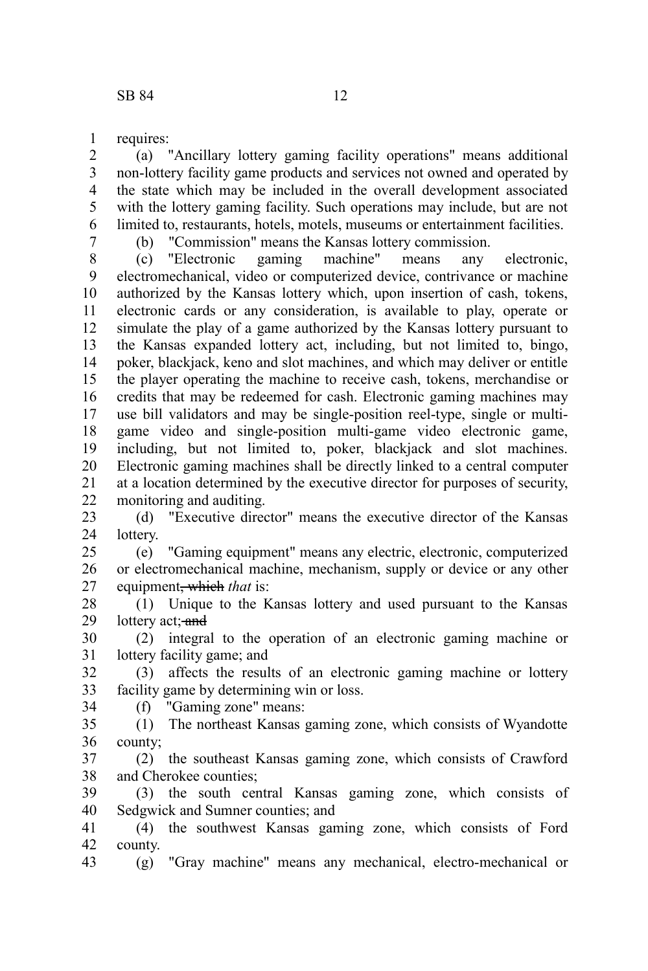requires: 1

(a) "Ancillary lottery gaming facility operations" means additional non-lottery facility game products and services not owned and operated by the state which may be included in the overall development associated with the lottery gaming facility. Such operations may include, but are not limited to, restaurants, hotels, motels, museums or entertainment facilities. 2 3 4 5 6

7

(b) "Commission" means the Kansas lottery commission.

(c) "Electronic gaming machine" means any electronic, electromechanical, video or computerized device, contrivance or machine authorized by the Kansas lottery which, upon insertion of cash, tokens, electronic cards or any consideration, is available to play, operate or simulate the play of a game authorized by the Kansas lottery pursuant to the Kansas expanded lottery act, including, but not limited to, bingo, poker, blackjack, keno and slot machines, and which may deliver or entitle the player operating the machine to receive cash, tokens, merchandise or credits that may be redeemed for cash. Electronic gaming machines may use bill validators and may be single-position reel-type, single or multigame video and single-position multi-game video electronic game, including, but not limited to, poker, blackjack and slot machines. Electronic gaming machines shall be directly linked to a central computer at a location determined by the executive director for purposes of security, monitoring and auditing. 8 9 10 11 12 13 14 15 16 17 18 19 20 21 22

(d) "Executive director" means the executive director of the Kansas lottery. 23 24

(e) "Gaming equipment" means any electric, electronic, computerized or electromechanical machine, mechanism, supply or device or any other equipment, which *that* is: 25 26 27

(1) Unique to the Kansas lottery and used pursuant to the Kansas lottery act; and 28 29

(2) integral to the operation of an electronic gaming machine or lottery facility game; and 30 31

(3) affects the results of an electronic gaming machine or lottery facility game by determining win or loss. (f) "Gaming zone" means: 32 33

34

(1) The northeast Kansas gaming zone, which consists of Wyandotte county; 35 36

(2) the southeast Kansas gaming zone, which consists of Crawford and Cherokee counties; 37 38

(3) the south central Kansas gaming zone, which consists of Sedgwick and Sumner counties; and 39 40

(4) the southwest Kansas gaming zone, which consists of Ford county. 41 42

(g) "Gray machine" means any mechanical, electro-mechanical or 43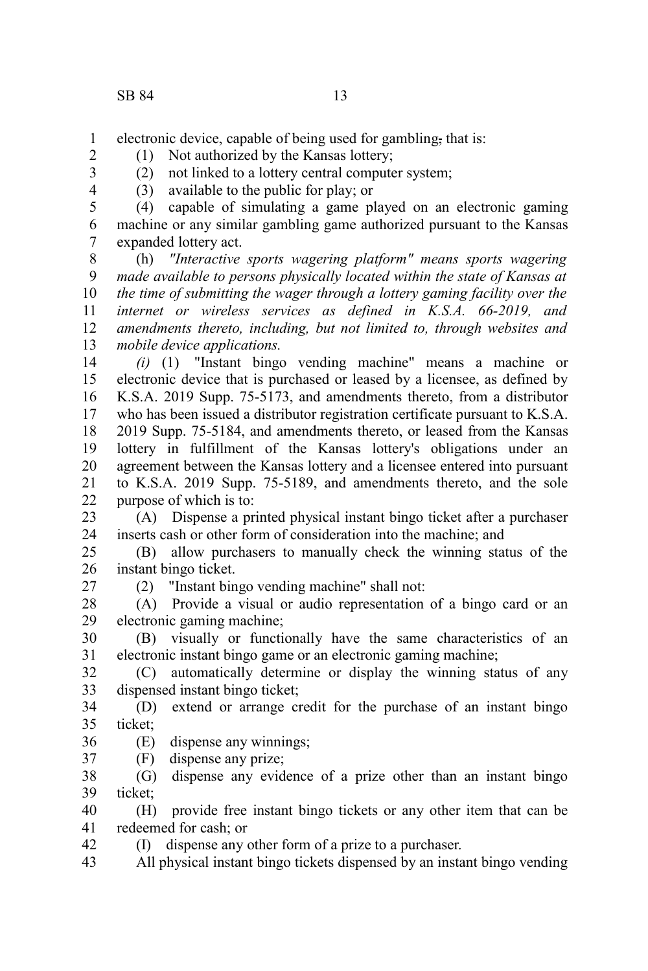2 3 4

electronic device, capable of being used for gambling, that is: 1

(1) Not authorized by the Kansas lottery;

(2) not linked to a lottery central computer system;

(3) available to the public for play; or

(4) capable of simulating a game played on an electronic gaming machine or any similar gambling game authorized pursuant to the Kansas expanded lottery act. 5 6 7

(h) *"Interactive sports wagering platform" means sports wagering made available to persons physically located within the state of Kansas at the time of submitting the wager through a lottery gaming facility over the internet or wireless services as defined in K.S.A. 66-2019, and amendments thereto, including, but not limited to, through websites and mobile device applications.* 8 9 10 11 12 13

*(i)* (1) "Instant bingo vending machine" means a machine or electronic device that is purchased or leased by a licensee, as defined by K.S.A. 2019 Supp. 75-5173, and amendments thereto, from a distributor who has been issued a distributor registration certificate pursuant to K.S.A. 2019 Supp. 75-5184, and amendments thereto, or leased from the Kansas lottery in fulfillment of the Kansas lottery's obligations under an agreement between the Kansas lottery and a licensee entered into pursuant to K.S.A. 2019 Supp. 75-5189, and amendments thereto, and the sole purpose of which is to: 14 15 16 17 18 19 20 21 22

(A) Dispense a printed physical instant bingo ticket after a purchaser inserts cash or other form of consideration into the machine; and 23 24

(B) allow purchasers to manually check the winning status of the instant bingo ticket. 25 26

27

(2) "Instant bingo vending machine" shall not:

(A) Provide a visual or audio representation of a bingo card or an electronic gaming machine; 28 29

(B) visually or functionally have the same characteristics of an electronic instant bingo game or an electronic gaming machine; 30 31

(C) automatically determine or display the winning status of any dispensed instant bingo ticket; 32 33

(D) extend or arrange credit for the purchase of an instant bingo ticket; 34 35

(E) dispense any winnings; 36

(F) dispense any prize; 37

(G) dispense any evidence of a prize other than an instant bingo ticket; 38 39

(H) provide free instant bingo tickets or any other item that can be redeemed for cash; or 40 41

(I) dispense any other form of a prize to a purchaser. 42

All physical instant bingo tickets dispensed by an instant bingo vending 43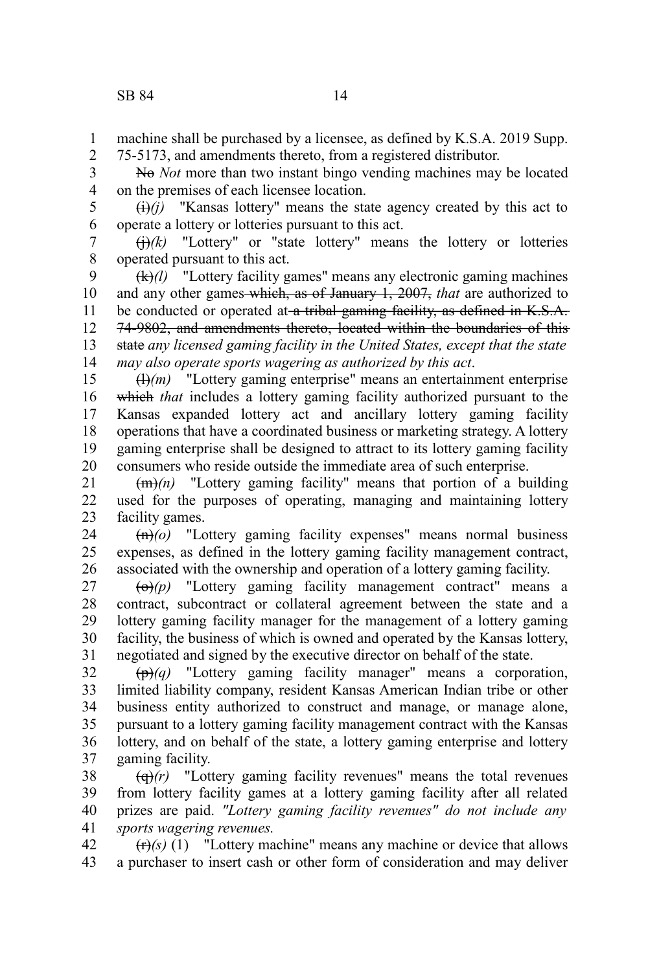machine shall be purchased by a licensee, as defined by K.S.A. 2019 Supp. 75-5173, and amendments thereto, from a registered distributor. 1 2

No *Not* more than two instant bingo vending machines may be located on the premises of each licensee location. 3 4

 $\overline{(i)}$ *(i)* "Kansas lottery" means the state agency created by this act to operate a lottery or lotteries pursuant to this act. 5 6

 $\left(\frac{1}{2}\right)$  "Lottery" or "state lottery" means the lottery or lotteries operated pursuant to this act. 7 8

(k)*(l)* "Lottery facility games" means any electronic gaming machines and any other games which, as of January 1, 2007, *that* are authorized to be conducted or operated at a tribal gaming facility, as defined in K.S.A. 74-9802, and amendments thereto, located within the boundaries of this state *any licensed gaming facility in the United States, except that the state may also operate sports wagering as authorized by this act*. 9 10 11 12 13 14

(l)*(m)* "Lottery gaming enterprise" means an entertainment enterprise which *that* includes a lottery gaming facility authorized pursuant to the Kansas expanded lottery act and ancillary lottery gaming facility operations that have a coordinated business or marketing strategy. A lottery gaming enterprise shall be designed to attract to its lottery gaming facility consumers who reside outside the immediate area of such enterprise. 15 16 17 18 19 20

(m)*(n)* "Lottery gaming facility" means that portion of a building used for the purposes of operating, managing and maintaining lottery facility games. 21 22 23

(n)*(o)* "Lottery gaming facility expenses" means normal business expenses, as defined in the lottery gaming facility management contract, associated with the ownership and operation of a lottery gaming facility. 24 25 26

 $\overline{(\Theta)}(p)$  "Lottery gaming facility management contract" means a contract, subcontract or collateral agreement between the state and a lottery gaming facility manager for the management of a lottery gaming facility, the business of which is owned and operated by the Kansas lottery, negotiated and signed by the executive director on behalf of the state. 27 28 29 30 31

 $\overrightarrow{(p)}(q)$  "Lottery gaming facility manager" means a corporation, limited liability company, resident Kansas American Indian tribe or other business entity authorized to construct and manage, or manage alone, pursuant to a lottery gaming facility management contract with the Kansas lottery, and on behalf of the state, a lottery gaming enterprise and lottery gaming facility. 32 33 34 35 36 37

(q)*(r)* "Lottery gaming facility revenues" means the total revenues from lottery facility games at a lottery gaming facility after all related prizes are paid. *"Lottery gaming facility revenues" do not include any sports wagering revenues.* 38 39 40 41

 $(r)$ <sup>(r)</sup> $(i)$  <sup>"T</sup>Lottery machine" means any machine or device that allows a purchaser to insert cash or other form of consideration and may deliver 42 43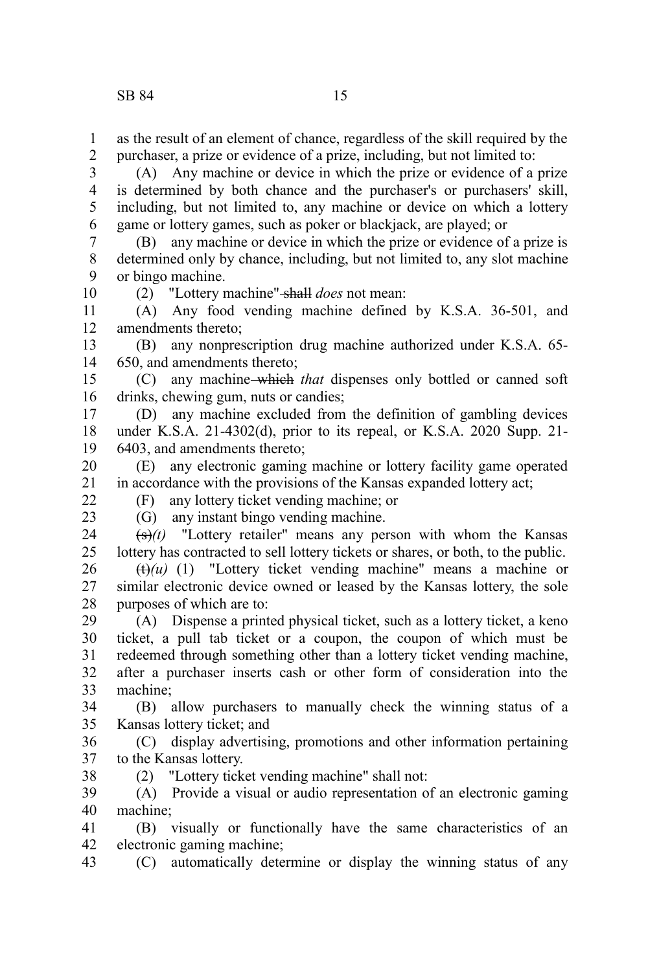as the result of an element of chance, regardless of the skill required by the purchaser, a prize or evidence of a prize, including, but not limited to: 1 2

(A) Any machine or device in which the prize or evidence of a prize is determined by both chance and the purchaser's or purchasers' skill, including, but not limited to, any machine or device on which a lottery game or lottery games, such as poker or blackjack, are played; or 3 4 5 6

(B) any machine or device in which the prize or evidence of a prize is determined only by chance, including, but not limited to, any slot machine or bingo machine. 7 8 9

(2) "Lottery machine" shall *does* not mean:

(A) Any food vending machine defined by K.S.A. 36-501, and amendments thereto; 11 12

(B) any nonprescription drug machine authorized under K.S.A. 65- 650, and amendments thereto; 13 14

(C) any machine which *that* dispenses only bottled or canned soft drinks, chewing gum, nuts or candies; 15 16

(D) any machine excluded from the definition of gambling devices under K.S.A. 21-4302(d), prior to its repeal, or K.S.A. 2020 Supp. 21- 6403, and amendments thereto; 17 18 19

(E) any electronic gaming machine or lottery facility game operated in accordance with the provisions of the Kansas expanded lottery act; 20 21

22

(F) any lottery ticket vending machine; or

23

10

(G) any instant bingo vending machine.

 $\overline{(s)}(t)$  "Lottery retailer" means any person with whom the Kansas lottery has contracted to sell lottery tickets or shares, or both, to the public. 24 25

 $(t)$ (*u*) (1) "Lottery ticket vending machine" means a machine or similar electronic device owned or leased by the Kansas lottery, the sole purposes of which are to: 26 27 28

(A) Dispense a printed physical ticket, such as a lottery ticket, a keno ticket, a pull tab ticket or a coupon, the coupon of which must be redeemed through something other than a lottery ticket vending machine, after a purchaser inserts cash or other form of consideration into the machine; 29 30 31 32 33

(B) allow purchasers to manually check the winning status of a Kansas lottery ticket; and 34 35

(C) display advertising, promotions and other information pertaining to the Kansas lottery. 36 37 38

(2) "Lottery ticket vending machine" shall not:

(A) Provide a visual or audio representation of an electronic gaming machine; 39 40

(B) visually or functionally have the same characteristics of an electronic gaming machine; 41 42

(C) automatically determine or display the winning status of any 43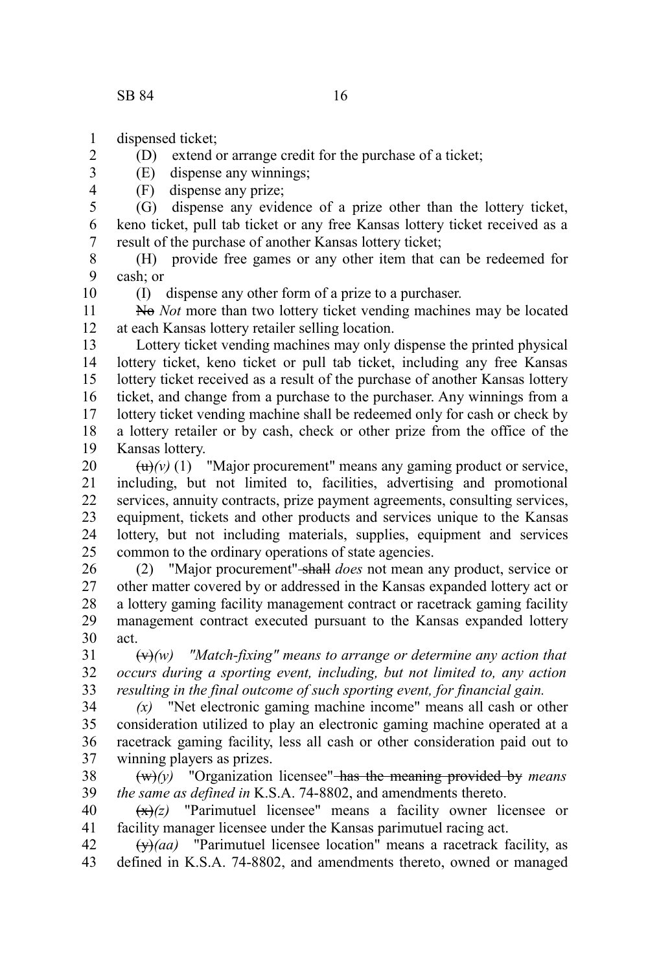2 3 4

- dispensed ticket; 1
	- (D) extend or arrange credit for the purchase of a ticket;

(E) dispense any winnings;

(F) dispense any prize;

(G) dispense any evidence of a prize other than the lottery ticket, keno ticket, pull tab ticket or any free Kansas lottery ticket received as a result of the purchase of another Kansas lottery ticket; 5 6 7

(H) provide free games or any other item that can be redeemed for cash; or 8 9 10

(I) dispense any other form of a prize to a purchaser.

No *Not* more than two lottery ticket vending machines may be located at each Kansas lottery retailer selling location. 11 12

Lottery ticket vending machines may only dispense the printed physical lottery ticket, keno ticket or pull tab ticket, including any free Kansas lottery ticket received as a result of the purchase of another Kansas lottery ticket, and change from a purchase to the purchaser. Any winnings from a lottery ticket vending machine shall be redeemed only for cash or check by a lottery retailer or by cash, check or other prize from the office of the Kansas lottery. 13 14 15 16 17 18 19

 $\left(\frac{u}{v}\right)(v)$  (1) "Major procurement" means any gaming product or service, including, but not limited to, facilities, advertising and promotional services, annuity contracts, prize payment agreements, consulting services, equipment, tickets and other products and services unique to the Kansas lottery, but not including materials, supplies, equipment and services common to the ordinary operations of state agencies. 20 21 22 23 24 25

(2) "Major procurement" shall *does* not mean any product, service or other matter covered by or addressed in the Kansas expanded lottery act or a lottery gaming facility management contract or racetrack gaming facility management contract executed pursuant to the Kansas expanded lottery act. 26 27 28 29 30

(v)*(w) "Match-fixing" means to arrange or determine any action that occurs during a sporting event, including, but not limited to, any action resulting in the final outcome of such sporting event, for financial gain.* 31 32 33

*(x)* "Net electronic gaming machine income" means all cash or other consideration utilized to play an electronic gaming machine operated at a racetrack gaming facility, less all cash or other consideration paid out to winning players as prizes. 34 35 36 37

(w)*(y)* "Organization licensee" has the meaning provided by *means the same as defined in* K.S.A. 74-8802, and amendments thereto. 38 39

 $\left(\frac{x}{x}\right)$  "Parimutuel licensee" means a facility owner licensee or facility manager licensee under the Kansas parimutuel racing act. 40 41

(y)*(aa)* "Parimutuel licensee location" means a racetrack facility, as defined in K.S.A. 74-8802, and amendments thereto, owned or managed 42 43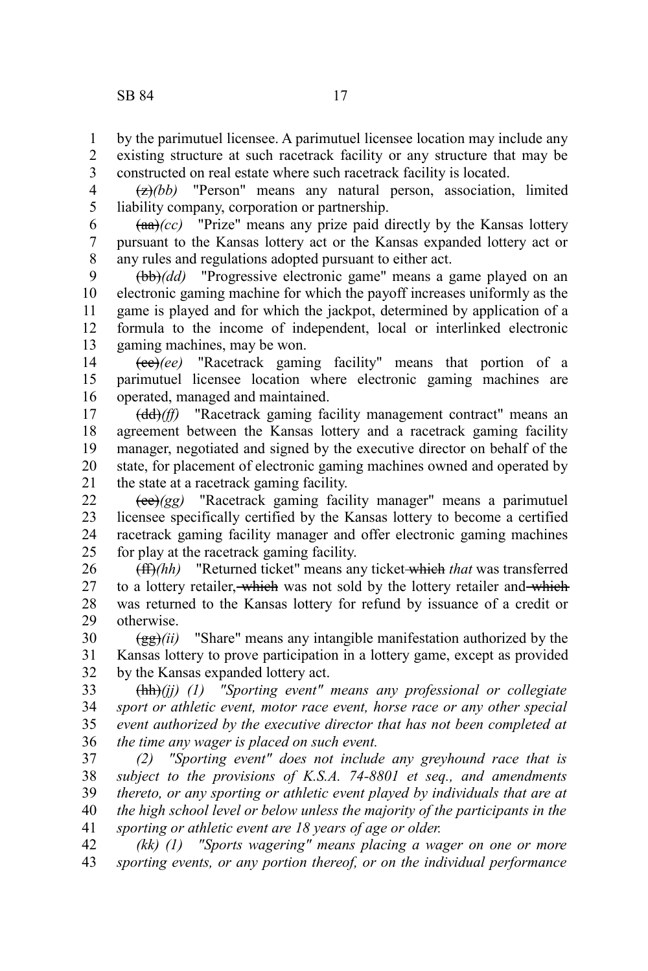by the parimutuel licensee. A parimutuel licensee location may include any existing structure at such racetrack facility or any structure that may be 1 2

constructed on real estate where such racetrack facility is located. 3

(z)*(bb)* "Person" means any natural person, association, limited liability company, corporation or partnership. 4 5

 $(aa)/(cc)$  "Prize" means any prize paid directly by the Kansas lottery pursuant to the Kansas lottery act or the Kansas expanded lottery act or any rules and regulations adopted pursuant to either act. 6 7 8

(bb)*(dd)* "Progressive electronic game" means a game played on an electronic gaming machine for which the payoff increases uniformly as the game is played and for which the jackpot, determined by application of a formula to the income of independent, local or interlinked electronic gaming machines, may be won. 9 10 11 12 13

(cc)*(ee)* "Racetrack gaming facility" means that portion of a parimutuel licensee location where electronic gaming machines are operated, managed and maintained. 14 15 16

(dd)*(ff)* "Racetrack gaming facility management contract" means an agreement between the Kansas lottery and a racetrack gaming facility manager, negotiated and signed by the executive director on behalf of the state, for placement of electronic gaming machines owned and operated by the state at a racetrack gaming facility. 17 18 19 20 21

(ee)*(gg)* "Racetrack gaming facility manager" means a parimutuel licensee specifically certified by the Kansas lottery to become a certified racetrack gaming facility manager and offer electronic gaming machines for play at the racetrack gaming facility. 22 23 24 25

(ff)*(hh)* "Returned ticket" means any ticket which *that* was transferred to a lottery retailer, which was not sold by the lottery retailer and which was returned to the Kansas lottery for refund by issuance of a credit or otherwise. 26 27 28 29

(gg)*(ii)* "Share" means any intangible manifestation authorized by the Kansas lottery to prove participation in a lottery game, except as provided by the Kansas expanded lottery act. 30 31 32

(hh)*(jj) (1) "Sporting event" means any professional or collegiate sport or athletic event, motor race event, horse race or any other special event authorized by the executive director that has not been completed at the time any wager is placed on such event.* 33 34 35 36

*(2) "Sporting event" does not include any greyhound race that is subject to the provisions of K.S.A. 74-8801 et seq., and amendments thereto, or any sporting or athletic event played by individuals that are at the high school level or below unless the majority of the participants in the sporting or athletic event are 18 years of age or older.* 37 38 39 40 41

*(kk) (1) "Sports wagering" means placing a wager on one or more sporting events, or any portion thereof, or on the individual performance* 42 43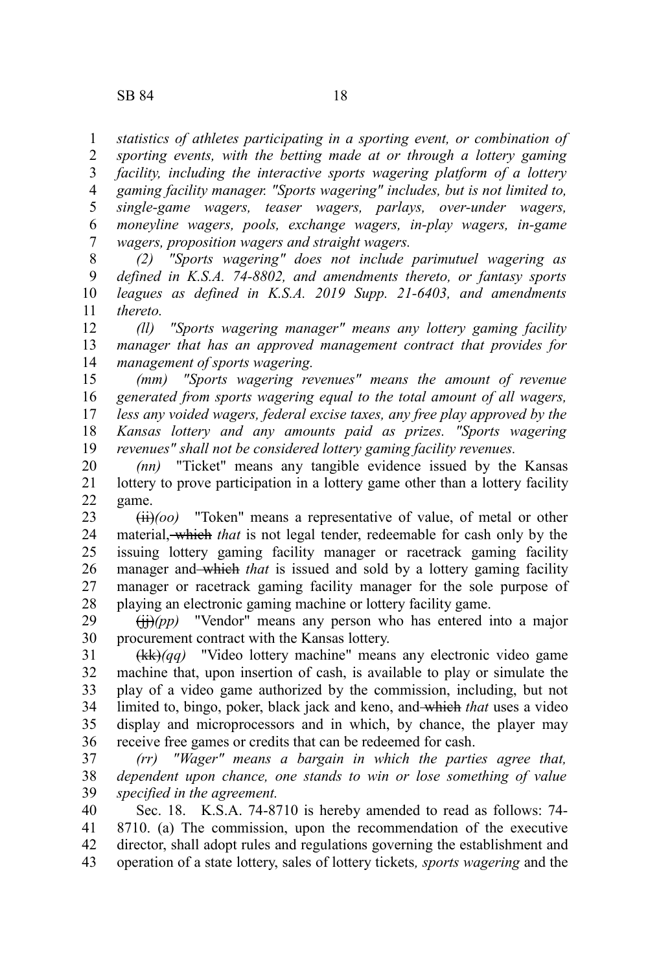*statistics of athletes participating in a sporting event, or combination of sporting events, with the betting made at or through a lottery gaming* 1 2

*facility, including the interactive sports wagering platform of a lottery gaming facility manager. "Sports wagering" includes, but is not limited to, single-game wagers, teaser wagers, parlays, over-under wagers, moneyline wagers, pools, exchange wagers, in-play wagers, in-game wagers, proposition wagers and straight wagers.* 3 4 5 6 7

*(2) "Sports wagering" does not include parimutuel wagering as defined in K.S.A. 74-8802, and amendments thereto, or fantasy sports leagues as defined in K.S.A. 2019 Supp. 21-6403, and amendments thereto.* 8 9 10 11

*(ll) "Sports wagering manager" means any lottery gaming facility manager that has an approved management contract that provides for management of sports wagering.* 12 13 14

*(mm) "Sports wagering revenues" means the amount of revenue generated from sports wagering equal to the total amount of all wagers, less any voided wagers, federal excise taxes, any free play approved by the Kansas lottery and any amounts paid as prizes. "Sports wagering revenues" shall not be considered lottery gaming facility revenues.* 15 16 17 18 19

*(nn)* "Ticket" means any tangible evidence issued by the Kansas lottery to prove participation in a lottery game other than a lottery facility game. 20 21 22

(ii)*(oo)* "Token" means a representative of value, of metal or other material, which *that* is not legal tender, redeemable for cash only by the issuing lottery gaming facility manager or racetrack gaming facility manager and which *that* is issued and sold by a lottery gaming facility manager or racetrack gaming facility manager for the sole purpose of playing an electronic gaming machine or lottery facility game. 23 24 25 26 27 28

(jj)*(pp)* "Vendor" means any person who has entered into a major procurement contract with the Kansas lottery. 29 30

(kk)*(qq)* "Video lottery machine" means any electronic video game machine that, upon insertion of cash, is available to play or simulate the play of a video game authorized by the commission, including, but not limited to, bingo, poker, black jack and keno, and which *that* uses a video display and microprocessors and in which, by chance, the player may receive free games or credits that can be redeemed for cash. 31 32 33 34 35 36

*(rr) "Wager" means a bargain in which the parties agree that, dependent upon chance, one stands to win or lose something of value specified in the agreement.* 37 38 39

Sec. 18. K.S.A. 74-8710 is hereby amended to read as follows: 74- 8710. (a) The commission, upon the recommendation of the executive director, shall adopt rules and regulations governing the establishment and operation of a state lottery, sales of lottery tickets*, sports wagering* and the 40 41 42 43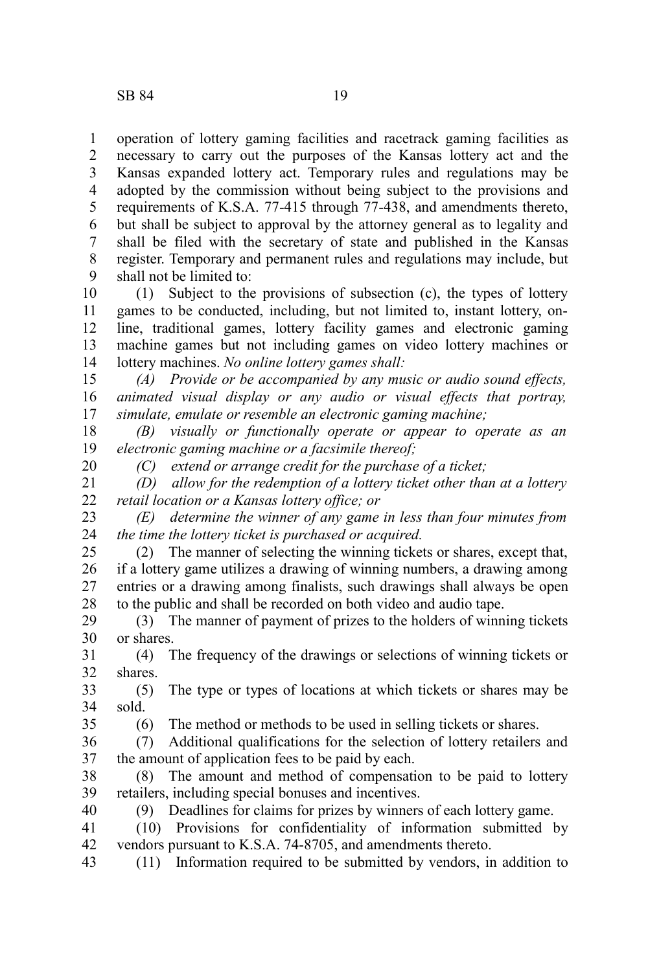operation of lottery gaming facilities and racetrack gaming facilities as necessary to carry out the purposes of the Kansas lottery act and the Kansas expanded lottery act. Temporary rules and regulations may be adopted by the commission without being subject to the provisions and requirements of K.S.A. 77-415 through 77-438, and amendments thereto, but shall be subject to approval by the attorney general as to legality and shall be filed with the secretary of state and published in the Kansas register. Temporary and permanent rules and regulations may include, but shall not be limited to: 1 2 3 4 5 6 7 8 9

(1) Subject to the provisions of subsection (c), the types of lottery games to be conducted, including, but not limited to, instant lottery, online, traditional games, lottery facility games and electronic gaming machine games but not including games on video lottery machines or lottery machines. *No online lottery games shall:* 10 11 12 13 14

*(A) Provide or be accompanied by any music or audio sound effects, animated visual display or any audio or visual effects that portray, simulate, emulate or resemble an electronic gaming machine;* 15 16 17

*(B) visually or functionally operate or appear to operate as an electronic gaming machine or a facsimile thereof;* 18 19

*(C) extend or arrange credit for the purchase of a ticket;*

*(D) allow for the redemption of a lottery ticket other than at a lottery retail location or a Kansas lottery office; or* 21 22

*(E) determine the winner of any game in less than four minutes from the time the lottery ticket is purchased or acquired.* 23 24

(2) The manner of selecting the winning tickets or shares, except that, if a lottery game utilizes a drawing of winning numbers, a drawing among entries or a drawing among finalists, such drawings shall always be open to the public and shall be recorded on both video and audio tape. 25 26 27 28

(3) The manner of payment of prizes to the holders of winning tickets or shares. 29 30

(4) The frequency of the drawings or selections of winning tickets or shares. 31 32

(5) The type or types of locations at which tickets or shares may be sold. 33 34

35

40

20

(6) The method or methods to be used in selling tickets or shares.

(7) Additional qualifications for the selection of lottery retailers and the amount of application fees to be paid by each. 36 37

(8) The amount and method of compensation to be paid to lottery retailers, including special bonuses and incentives. 38 39

(9) Deadlines for claims for prizes by winners of each lottery game.

(10) Provisions for confidentiality of information submitted by vendors pursuant to K.S.A. 74-8705, and amendments thereto. 41 42

(11) Information required to be submitted by vendors, in addition to 43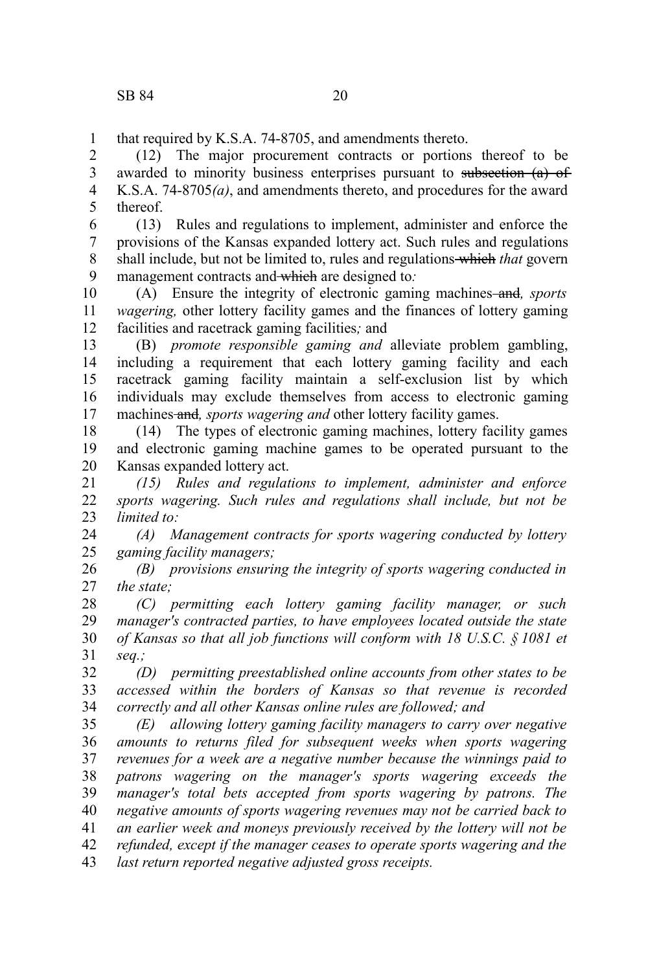that required by K.S.A. 74-8705, and amendments thereto. 1

(12) The major procurement contracts or portions thereof to be awarded to minority business enterprises pursuant to subsection (a) of K.S.A. 74-8705*(a)*, and amendments thereto, and procedures for the award thereof. 2 3 4 5

(13) Rules and regulations to implement, administer and enforce the provisions of the Kansas expanded lottery act. Such rules and regulations shall include, but not be limited to, rules and regulations which *that* govern management contracts and which are designed to*:* 6 7 8 9

(A) Ensure the integrity of electronic gaming machines and*, sports wagering,* other lottery facility games and the finances of lottery gaming facilities and racetrack gaming facilities*;* and 10 11 12

(B) *promote responsible gaming and* alleviate problem gambling, including a requirement that each lottery gaming facility and each racetrack gaming facility maintain a self-exclusion list by which individuals may exclude themselves from access to electronic gaming machines and*, sports wagering and* other lottery facility games. 13 14 15 16 17

(14) The types of electronic gaming machines, lottery facility games and electronic gaming machine games to be operated pursuant to the Kansas expanded lottery act. 18 19 20

*(15) Rules and regulations to implement, administer and enforce sports wagering. Such rules and regulations shall include, but not be limited to:* 21 22 23

*(A) Management contracts for sports wagering conducted by lottery gaming facility managers;* 24 25

*(B) provisions ensuring the integrity of sports wagering conducted in the state;* 26 27

*(C) permitting each lottery gaming facility manager, or such manager's contracted parties, to have employees located outside the state of Kansas so that all job functions will conform with 18 U.S.C. § 1081 et seq.;* 28 29 30 31

*(D) permitting preestablished online accounts from other states to be accessed within the borders of Kansas so that revenue is recorded correctly and all other Kansas online rules are followed; and* 32 33 34

*(E) allowing lottery gaming facility managers to carry over negative amounts to returns filed for subsequent weeks when sports wagering revenues for a week are a negative number because the winnings paid to patrons wagering on the manager's sports wagering exceeds the manager's total bets accepted from sports wagering by patrons. The negative amounts of sports wagering revenues may not be carried back to an earlier week and moneys previously received by the lottery will not be refunded, except if the manager ceases to operate sports wagering and the last return reported negative adjusted gross receipts.* 35 36 37 38 39 40 41 42 43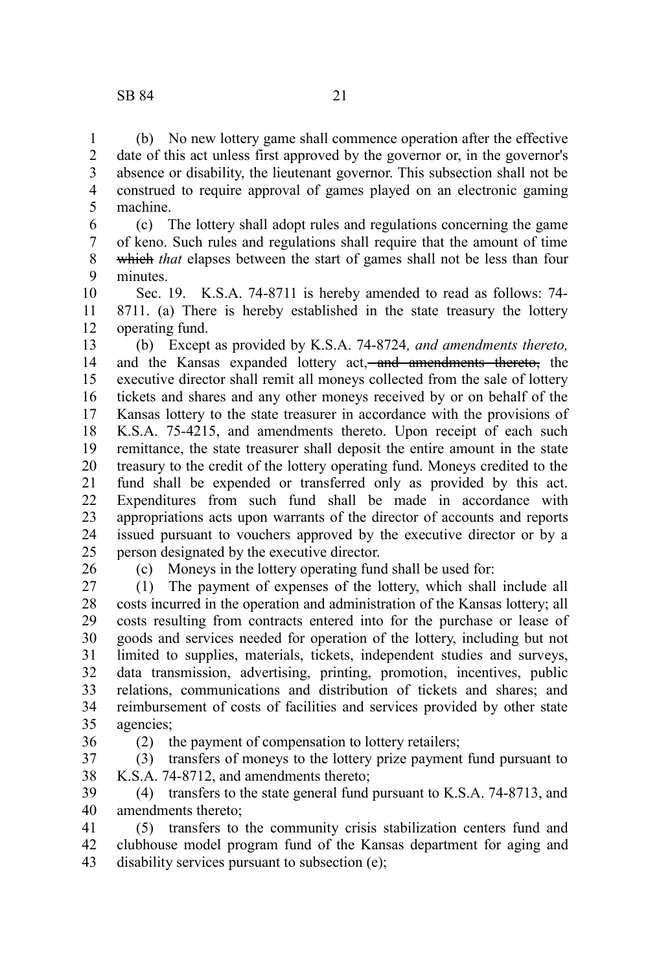(b) No new lottery game shall commence operation after the effective date of this act unless first approved by the governor or, in the governor's absence or disability, the lieutenant governor. This subsection shall not be construed to require approval of games played on an electronic gaming machine. 1 2 3 4 5

(c) The lottery shall adopt rules and regulations concerning the game of keno. Such rules and regulations shall require that the amount of time which *that* elapses between the start of games shall not be less than four minutes. 6 7 8 9

Sec. 19. K.S.A. 74-8711 is hereby amended to read as follows: 74- 8711. (a) There is hereby established in the state treasury the lottery operating fund. 10 11 12

(b) Except as provided by K.S.A. 74-8724*, and amendments thereto,* and the Kansas expanded lottery act, and amendments thereto, the executive director shall remit all moneys collected from the sale of lottery tickets and shares and any other moneys received by or on behalf of the Kansas lottery to the state treasurer in accordance with the provisions of K.S.A. 75-4215, and amendments thereto. Upon receipt of each such remittance, the state treasurer shall deposit the entire amount in the state treasury to the credit of the lottery operating fund. Moneys credited to the fund shall be expended or transferred only as provided by this act. Expenditures from such fund shall be made in accordance with appropriations acts upon warrants of the director of accounts and reports issued pursuant to vouchers approved by the executive director or by a person designated by the executive director. 13 14 15 16 17 18 19 20 21 22 23 24 25

26

(c) Moneys in the lottery operating fund shall be used for:

(1) The payment of expenses of the lottery, which shall include all costs incurred in the operation and administration of the Kansas lottery; all costs resulting from contracts entered into for the purchase or lease of goods and services needed for operation of the lottery, including but not limited to supplies, materials, tickets, independent studies and surveys, data transmission, advertising, printing, promotion, incentives, public relations, communications and distribution of tickets and shares; and reimbursement of costs of facilities and services provided by other state agencies; 27 28 29 30 31 32 33 34 35

36

(2) the payment of compensation to lottery retailers;

(3) transfers of moneys to the lottery prize payment fund pursuant to K.S.A. 74-8712, and amendments thereto; 37 38

(4) transfers to the state general fund pursuant to K.S.A. 74-8713, and amendments thereto; 39 40

(5) transfers to the community crisis stabilization centers fund and clubhouse model program fund of the Kansas department for aging and disability services pursuant to subsection (e); 41 42 43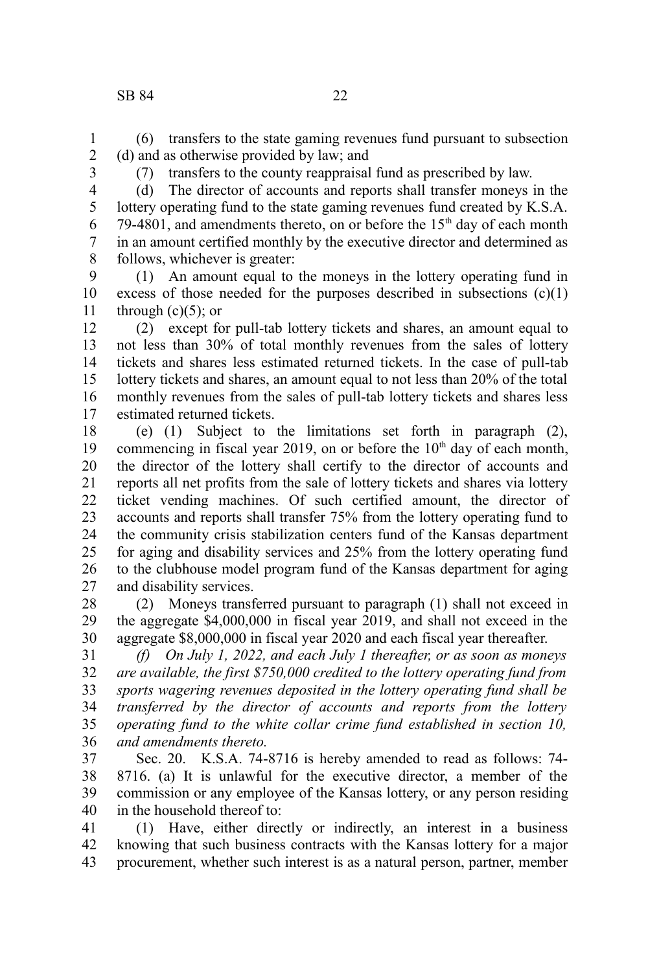(6) transfers to the state gaming revenues fund pursuant to subsection (d) and as otherwise provided by law; and 1 2

3

(7) transfers to the county reappraisal fund as prescribed by law.

4 5

> 6 7 8

(d) The director of accounts and reports shall transfer moneys in the lottery operating fund to the state gaming revenues fund created by K.S.A. 79-4801, and amendments thereto, on or before the  $15<sup>th</sup>$  day of each month in an amount certified monthly by the executive director and determined as follows, whichever is greater:

(1) An amount equal to the moneys in the lottery operating fund in excess of those needed for the purposes described in subsections  $(c)(1)$ through  $(c)(5)$ ; or 9 10 11

(2) except for pull-tab lottery tickets and shares, an amount equal to not less than 30% of total monthly revenues from the sales of lottery tickets and shares less estimated returned tickets. In the case of pull-tab lottery tickets and shares, an amount equal to not less than 20% of the total monthly revenues from the sales of pull-tab lottery tickets and shares less estimated returned tickets. 12 13 14 15 16 17

(e) (1) Subject to the limitations set forth in paragraph (2), commencing in fiscal year 2019, on or before the  $10<sup>th</sup>$  day of each month, the director of the lottery shall certify to the director of accounts and reports all net profits from the sale of lottery tickets and shares via lottery ticket vending machines. Of such certified amount, the director of accounts and reports shall transfer 75% from the lottery operating fund to the community crisis stabilization centers fund of the Kansas department for aging and disability services and 25% from the lottery operating fund to the clubhouse model program fund of the Kansas department for aging and disability services. 18 19 20 21 22 23 24 25 26 27

(2) Moneys transferred pursuant to paragraph (1) shall not exceed in the aggregate \$4,000,000 in fiscal year 2019, and shall not exceed in the aggregate \$8,000,000 in fiscal year 2020 and each fiscal year thereafter. 28 29 30

*(f) On July 1, 2022, and each July 1 thereafter, or as soon as moneys are available, the first \$750,000 credited to the lottery operating fund from sports wagering revenues deposited in the lottery operating fund shall be transferred by the director of accounts and reports from the lottery operating fund to the white collar crime fund established in section 10, and amendments thereto.* 31 32 33 34 35 36

Sec. 20. K.S.A. 74-8716 is hereby amended to read as follows: 74- 8716. (a) It is unlawful for the executive director, a member of the commission or any employee of the Kansas lottery, or any person residing in the household thereof to: 37 38 39 40

(1) Have, either directly or indirectly, an interest in a business knowing that such business contracts with the Kansas lottery for a major procurement, whether such interest is as a natural person, partner, member 41 42 43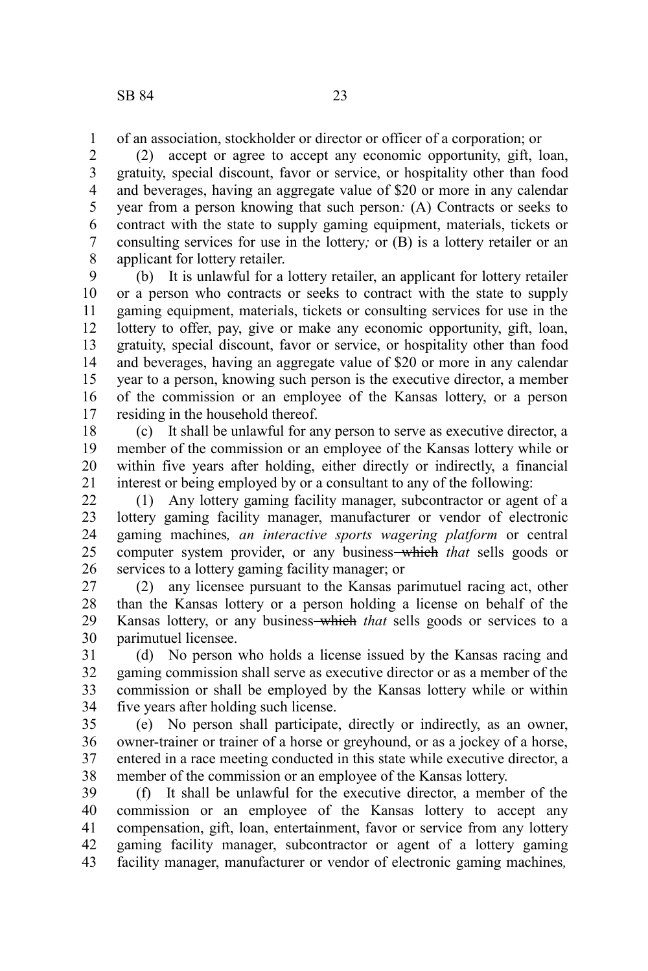of an association, stockholder or director or officer of a corporation; or 1

(2) accept or agree to accept any economic opportunity, gift, loan, gratuity, special discount, favor or service, or hospitality other than food and beverages, having an aggregate value of \$20 or more in any calendar year from a person knowing that such person*:* (A) Contracts or seeks to contract with the state to supply gaming equipment, materials, tickets or consulting services for use in the lottery*;* or (B) is a lottery retailer or an applicant for lottery retailer. 2 3 4 5 6 7 8

(b) It is unlawful for a lottery retailer, an applicant for lottery retailer or a person who contracts or seeks to contract with the state to supply gaming equipment, materials, tickets or consulting services for use in the lottery to offer, pay, give or make any economic opportunity, gift, loan, gratuity, special discount, favor or service, or hospitality other than food and beverages, having an aggregate value of \$20 or more in any calendar year to a person, knowing such person is the executive director, a member of the commission or an employee of the Kansas lottery, or a person residing in the household thereof. 9 10 11 12 13 14 15 16 17

(c) It shall be unlawful for any person to serve as executive director, a member of the commission or an employee of the Kansas lottery while or within five years after holding, either directly or indirectly, a financial interest or being employed by or a consultant to any of the following: 18 19 20 21

(1) Any lottery gaming facility manager, subcontractor or agent of a lottery gaming facility manager, manufacturer or vendor of electronic gaming machines*, an interactive sports wagering platform* or central computer system provider, or any business—which *that* sells goods or services to a lottery gaming facility manager; or 22 23 24 25 26

(2) any licensee pursuant to the Kansas parimutuel racing act, other than the Kansas lottery or a person holding a license on behalf of the Kansas lottery, or any business-which *that* sells goods or services to a parimutuel licensee. 27 28 29 30

(d) No person who holds a license issued by the Kansas racing and gaming commission shall serve as executive director or as a member of the commission or shall be employed by the Kansas lottery while or within five years after holding such license. 31 32 33 34

(e) No person shall participate, directly or indirectly, as an owner, owner-trainer or trainer of a horse or greyhound, or as a jockey of a horse, entered in a race meeting conducted in this state while executive director, a member of the commission or an employee of the Kansas lottery. 35 36 37 38

(f) It shall be unlawful for the executive director, a member of the commission or an employee of the Kansas lottery to accept any compensation, gift, loan, entertainment, favor or service from any lottery gaming facility manager, subcontractor or agent of a lottery gaming facility manager, manufacturer or vendor of electronic gaming machines*,* 39 40 41 42 43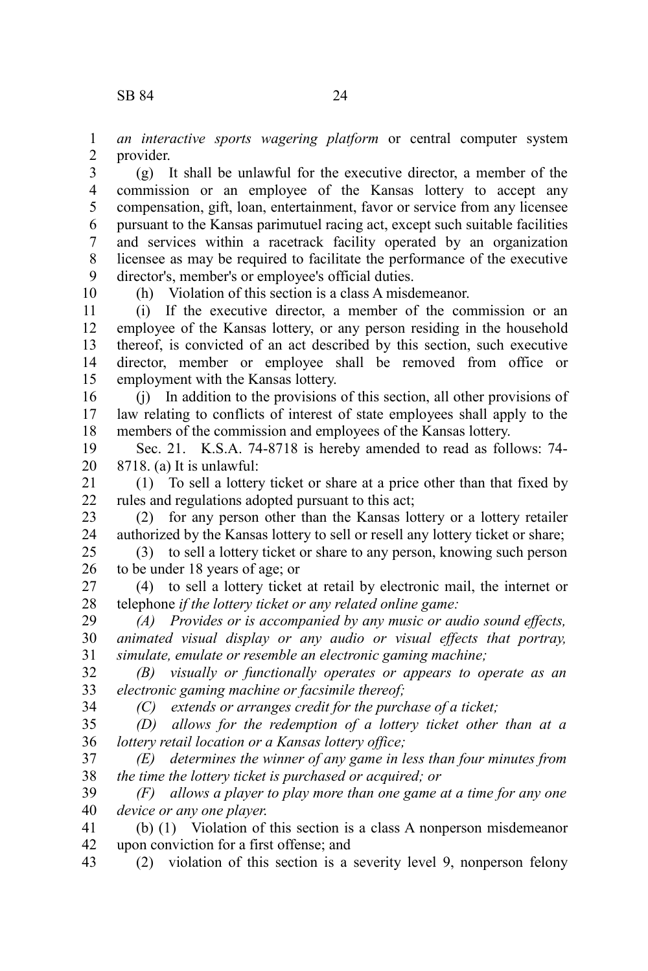*an interactive sports wagering platform* or central computer system provider. 1 2

(g) It shall be unlawful for the executive director, a member of the commission or an employee of the Kansas lottery to accept any compensation, gift, loan, entertainment, favor or service from any licensee pursuant to the Kansas parimutuel racing act, except such suitable facilities and services within a racetrack facility operated by an organization licensee as may be required to facilitate the performance of the executive director's, member's or employee's official duties. 3 4 5 6 7 8 9

10

34

(h) Violation of this section is a class A misdemeanor.

(i) If the executive director, a member of the commission or an employee of the Kansas lottery, or any person residing in the household thereof, is convicted of an act described by this section, such executive director, member or employee shall be removed from office or employment with the Kansas lottery. 11 12 13 14 15

(j) In addition to the provisions of this section, all other provisions of law relating to conflicts of interest of state employees shall apply to the members of the commission and employees of the Kansas lottery. 16 17 18

Sec. 21. K.S.A. 74-8718 is hereby amended to read as follows: 74- 8718. (a) It is unlawful: 19 20

(1) To sell a lottery ticket or share at a price other than that fixed by rules and regulations adopted pursuant to this act; 21 22

(2) for any person other than the Kansas lottery or a lottery retailer authorized by the Kansas lottery to sell or resell any lottery ticket or share; 23 24

(3) to sell a lottery ticket or share to any person, knowing such person to be under 18 years of age; or 25 26

(4) to sell a lottery ticket at retail by electronic mail, the internet or telephone *if the lottery ticket or any related online game:* 27 28

*(A) Provides or is accompanied by any music or audio sound effects, animated visual display or any audio or visual effects that portray, simulate, emulate or resemble an electronic gaming machine;* 29 30 31

*(B) visually or functionally operates or appears to operate as an electronic gaming machine or facsimile thereof;* 32 33

*(C) extends or arranges credit for the purchase of a ticket;*

*(D) allows for the redemption of a lottery ticket other than at a lottery retail location or a Kansas lottery office;* 35 36

*(E) determines the winner of any game in less than four minutes from the time the lottery ticket is purchased or acquired; or* 37 38

*(F) allows a player to play more than one game at a time for any one device or any one player*. 39 40

(b) (1) Violation of this section is a class A nonperson misdemeanor upon conviction for a first offense; and 41 42

(2) violation of this section is a severity level 9, nonperson felony 43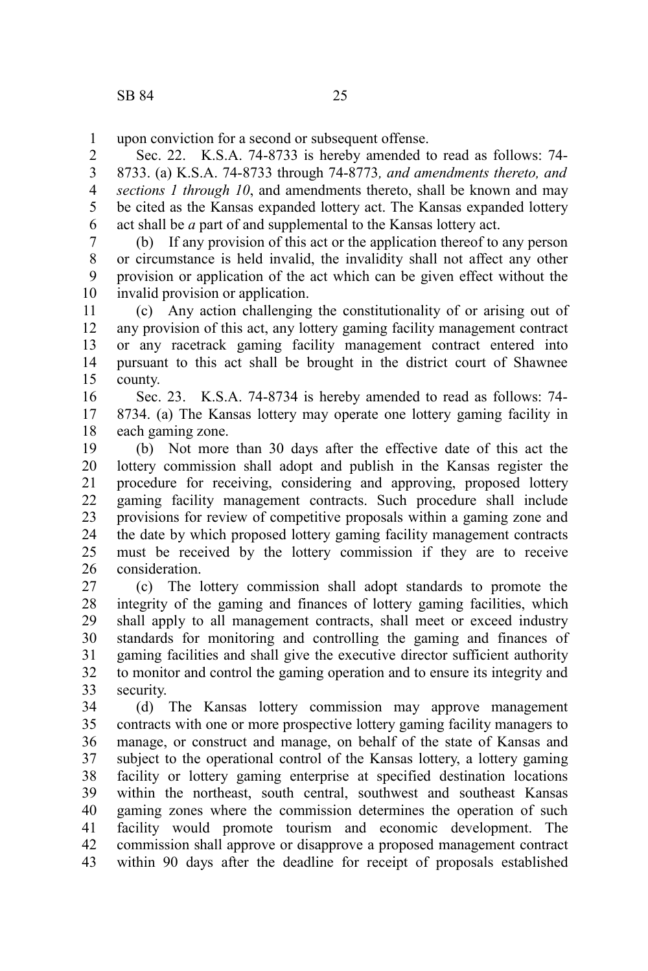upon conviction for a second or subsequent offense. 1

Sec. 22. K.S.A. 74-8733 is hereby amended to read as follows: 74- 8733. (a) K.S.A. 74-8733 through 74-8773*, and amendments thereto, and sections 1 through 10*, and amendments thereto, shall be known and may be cited as the Kansas expanded lottery act. The Kansas expanded lottery act shall be *a* part of and supplemental to the Kansas lottery act. 2 3 4 5 6

(b) If any provision of this act or the application thereof to any person or circumstance is held invalid, the invalidity shall not affect any other provision or application of the act which can be given effect without the invalid provision or application. 7 8 9 10

(c) Any action challenging the constitutionality of or arising out of any provision of this act, any lottery gaming facility management contract or any racetrack gaming facility management contract entered into pursuant to this act shall be brought in the district court of Shawnee county. 11 12 13 14 15

Sec. 23. K.S.A. 74-8734 is hereby amended to read as follows: 74- 8734. (a) The Kansas lottery may operate one lottery gaming facility in each gaming zone. 16 17 18

(b) Not more than 30 days after the effective date of this act the lottery commission shall adopt and publish in the Kansas register the procedure for receiving, considering and approving, proposed lottery gaming facility management contracts. Such procedure shall include provisions for review of competitive proposals within a gaming zone and the date by which proposed lottery gaming facility management contracts must be received by the lottery commission if they are to receive consideration. 19 20 21 22 23 24 25 26

(c) The lottery commission shall adopt standards to promote the integrity of the gaming and finances of lottery gaming facilities, which shall apply to all management contracts, shall meet or exceed industry standards for monitoring and controlling the gaming and finances of gaming facilities and shall give the executive director sufficient authority to monitor and control the gaming operation and to ensure its integrity and security. 27 28 29 30 31 32 33

(d) The Kansas lottery commission may approve management contracts with one or more prospective lottery gaming facility managers to manage, or construct and manage, on behalf of the state of Kansas and subject to the operational control of the Kansas lottery, a lottery gaming facility or lottery gaming enterprise at specified destination locations within the northeast, south central, southwest and southeast Kansas gaming zones where the commission determines the operation of such facility would promote tourism and economic development. The commission shall approve or disapprove a proposed management contract within 90 days after the deadline for receipt of proposals established 34 35 36 37 38 39 40 41 42 43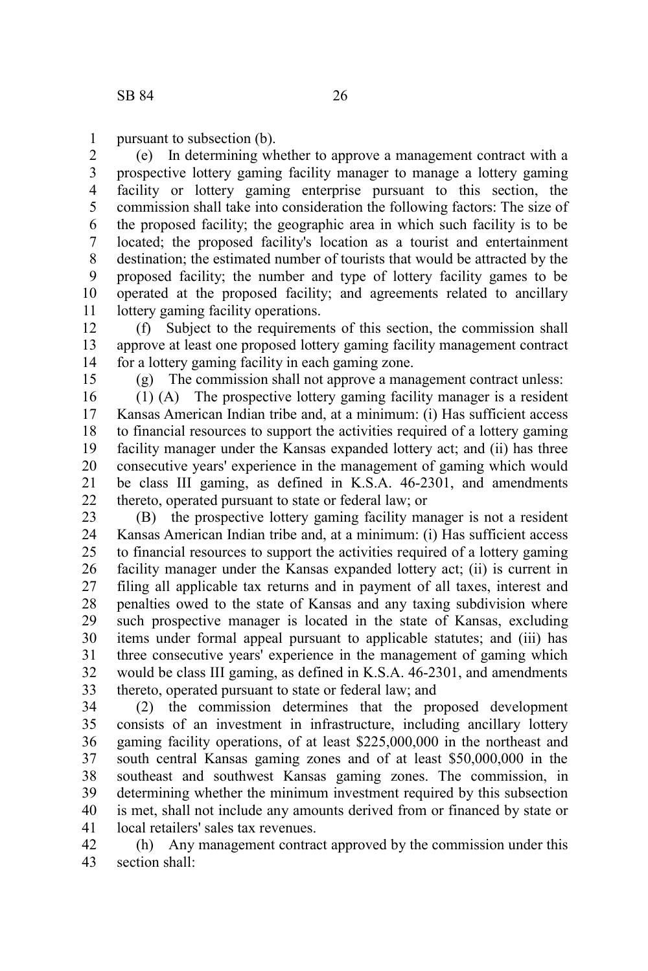pursuant to subsection (b). 1

(e) In determining whether to approve a management contract with a prospective lottery gaming facility manager to manage a lottery gaming facility or lottery gaming enterprise pursuant to this section, the commission shall take into consideration the following factors: The size of the proposed facility; the geographic area in which such facility is to be located; the proposed facility's location as a tourist and entertainment destination; the estimated number of tourists that would be attracted by the proposed facility; the number and type of lottery facility games to be operated at the proposed facility; and agreements related to ancillary lottery gaming facility operations. 2 3 4 5 6 7 8 9 10 11

(f) Subject to the requirements of this section, the commission shall approve at least one proposed lottery gaming facility management contract for a lottery gaming facility in each gaming zone. 12 13 14

15

(g) The commission shall not approve a management contract unless:

(1) (A) The prospective lottery gaming facility manager is a resident Kansas American Indian tribe and, at a minimum: (i) Has sufficient access to financial resources to support the activities required of a lottery gaming facility manager under the Kansas expanded lottery act; and (ii) has three consecutive years' experience in the management of gaming which would be class III gaming, as defined in K.S.A. 46-2301, and amendments thereto, operated pursuant to state or federal law; or 16 17 18 19 20 21 22

(B) the prospective lottery gaming facility manager is not a resident Kansas American Indian tribe and, at a minimum: (i) Has sufficient access to financial resources to support the activities required of a lottery gaming facility manager under the Kansas expanded lottery act; (ii) is current in filing all applicable tax returns and in payment of all taxes, interest and penalties owed to the state of Kansas and any taxing subdivision where such prospective manager is located in the state of Kansas, excluding items under formal appeal pursuant to applicable statutes; and (iii) has three consecutive years' experience in the management of gaming which would be class III gaming, as defined in K.S.A. 46-2301, and amendments thereto, operated pursuant to state or federal law; and 23 24 25 26 27 28 29 30 31 32 33

(2) the commission determines that the proposed development consists of an investment in infrastructure, including ancillary lottery gaming facility operations, of at least \$225,000,000 in the northeast and south central Kansas gaming zones and of at least \$50,000,000 in the southeast and southwest Kansas gaming zones. The commission, in determining whether the minimum investment required by this subsection is met, shall not include any amounts derived from or financed by state or local retailers' sales tax revenues. 34 35 36 37 38 39 40 41

(h) Any management contract approved by the commission under this section shall: 42 43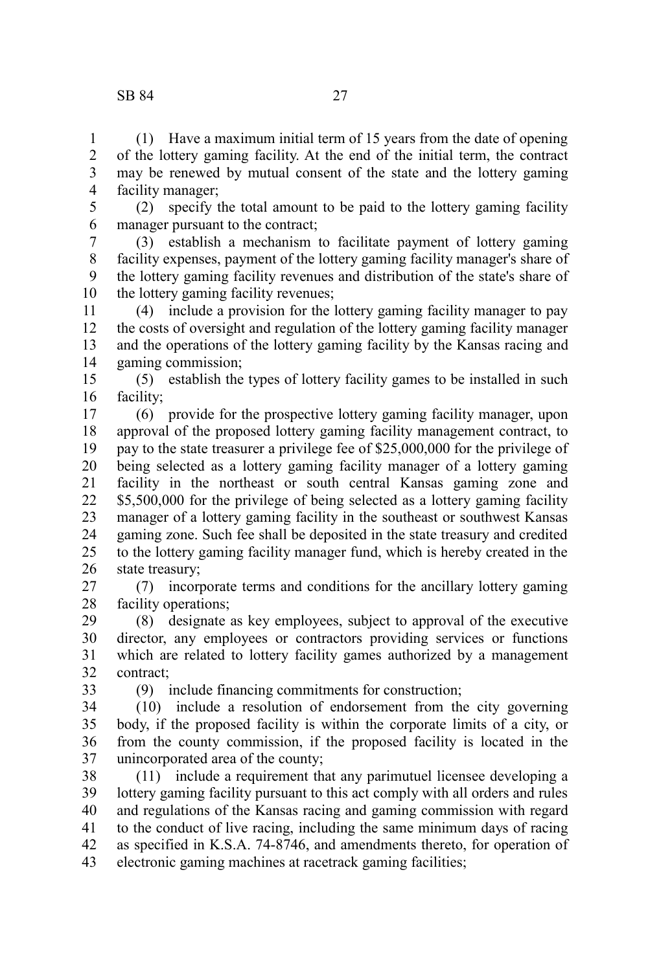## SB 84 27

(1) Have a maximum initial term of 15 years from the date of opening of the lottery gaming facility. At the end of the initial term, the contract may be renewed by mutual consent of the state and the lottery gaming facility manager; 1 2 3 4

(2) specify the total amount to be paid to the lottery gaming facility manager pursuant to the contract; 5 6

(3) establish a mechanism to facilitate payment of lottery gaming facility expenses, payment of the lottery gaming facility manager's share of the lottery gaming facility revenues and distribution of the state's share of the lottery gaming facility revenues; 7 8 9 10

(4) include a provision for the lottery gaming facility manager to pay the costs of oversight and regulation of the lottery gaming facility manager and the operations of the lottery gaming facility by the Kansas racing and gaming commission; 11 12 13 14

(5) establish the types of lottery facility games to be installed in such facility; 15 16

(6) provide for the prospective lottery gaming facility manager, upon approval of the proposed lottery gaming facility management contract, to pay to the state treasurer a privilege fee of \$25,000,000 for the privilege of being selected as a lottery gaming facility manager of a lottery gaming facility in the northeast or south central Kansas gaming zone and \$5,500,000 for the privilege of being selected as a lottery gaming facility manager of a lottery gaming facility in the southeast or southwest Kansas gaming zone. Such fee shall be deposited in the state treasury and credited to the lottery gaming facility manager fund, which is hereby created in the state treasury; 17 18 19 20 21 22 23 24 25 26

(7) incorporate terms and conditions for the ancillary lottery gaming facility operations; 27 28

(8) designate as key employees, subject to approval of the executive director, any employees or contractors providing services or functions which are related to lottery facility games authorized by a management contract; 29 30 31 32

33

(9) include financing commitments for construction;

(10) include a resolution of endorsement from the city governing body, if the proposed facility is within the corporate limits of a city, or from the county commission, if the proposed facility is located in the unincorporated area of the county; 34 35 36 37

(11) include a requirement that any parimutuel licensee developing a lottery gaming facility pursuant to this act comply with all orders and rules and regulations of the Kansas racing and gaming commission with regard to the conduct of live racing, including the same minimum days of racing as specified in K.S.A. 74-8746, and amendments thereto, for operation of electronic gaming machines at racetrack gaming facilities; 38 39 40 41 42 43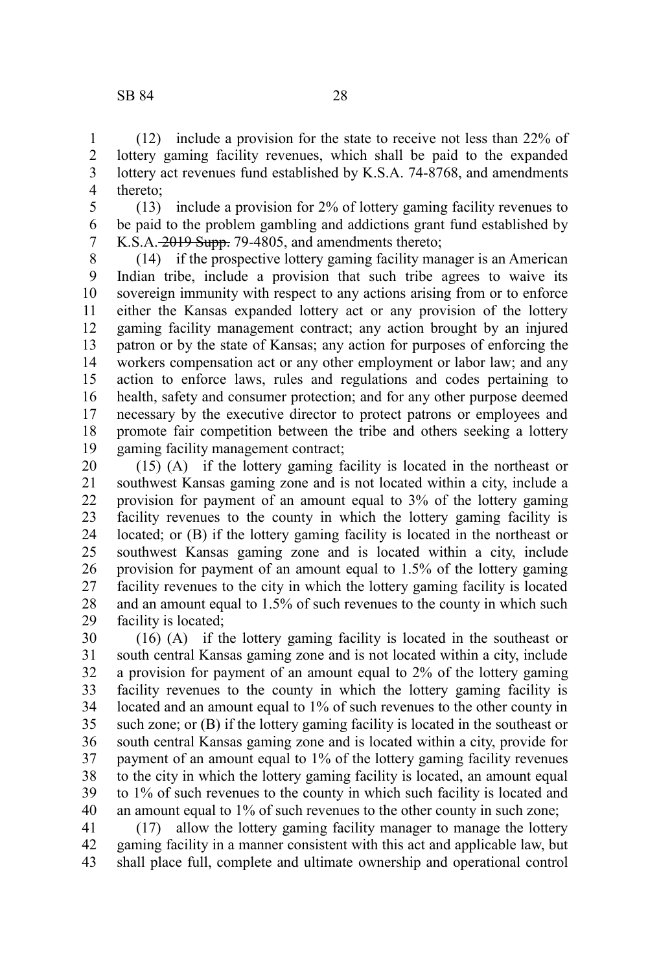(12) include a provision for the state to receive not less than 22% of lottery gaming facility revenues, which shall be paid to the expanded lottery act revenues fund established by K.S.A. 74-8768, and amendments thereto; 1 2 3 4

(13) include a provision for 2% of lottery gaming facility revenues to be paid to the problem gambling and addictions grant fund established by K.S.A. 2019 Supp. 79-4805, and amendments thereto; 5 6 7

(14) if the prospective lottery gaming facility manager is an American Indian tribe, include a provision that such tribe agrees to waive its sovereign immunity with respect to any actions arising from or to enforce either the Kansas expanded lottery act or any provision of the lottery gaming facility management contract; any action brought by an injured patron or by the state of Kansas; any action for purposes of enforcing the workers compensation act or any other employment or labor law; and any action to enforce laws, rules and regulations and codes pertaining to health, safety and consumer protection; and for any other purpose deemed necessary by the executive director to protect patrons or employees and promote fair competition between the tribe and others seeking a lottery gaming facility management contract; 8 9 10 11 12 13 14 15 16 17 18 19

(15) (A) if the lottery gaming facility is located in the northeast or southwest Kansas gaming zone and is not located within a city, include a provision for payment of an amount equal to 3% of the lottery gaming facility revenues to the county in which the lottery gaming facility is located; or (B) if the lottery gaming facility is located in the northeast or southwest Kansas gaming zone and is located within a city, include provision for payment of an amount equal to 1.5% of the lottery gaming facility revenues to the city in which the lottery gaming facility is located and an amount equal to 1.5% of such revenues to the county in which such facility is located; 20 21 22 23 24 25 26 27 28 29

(16) (A) if the lottery gaming facility is located in the southeast or south central Kansas gaming zone and is not located within a city, include a provision for payment of an amount equal to 2% of the lottery gaming facility revenues to the county in which the lottery gaming facility is located and an amount equal to 1% of such revenues to the other county in such zone; or (B) if the lottery gaming facility is located in the southeast or south central Kansas gaming zone and is located within a city, provide for payment of an amount equal to 1% of the lottery gaming facility revenues to the city in which the lottery gaming facility is located, an amount equal to 1% of such revenues to the county in which such facility is located and an amount equal to 1% of such revenues to the other county in such zone; 30 31 32 33 34 35 36 37 38 39 40

(17) allow the lottery gaming facility manager to manage the lottery gaming facility in a manner consistent with this act and applicable law, but shall place full, complete and ultimate ownership and operational control 41 42 43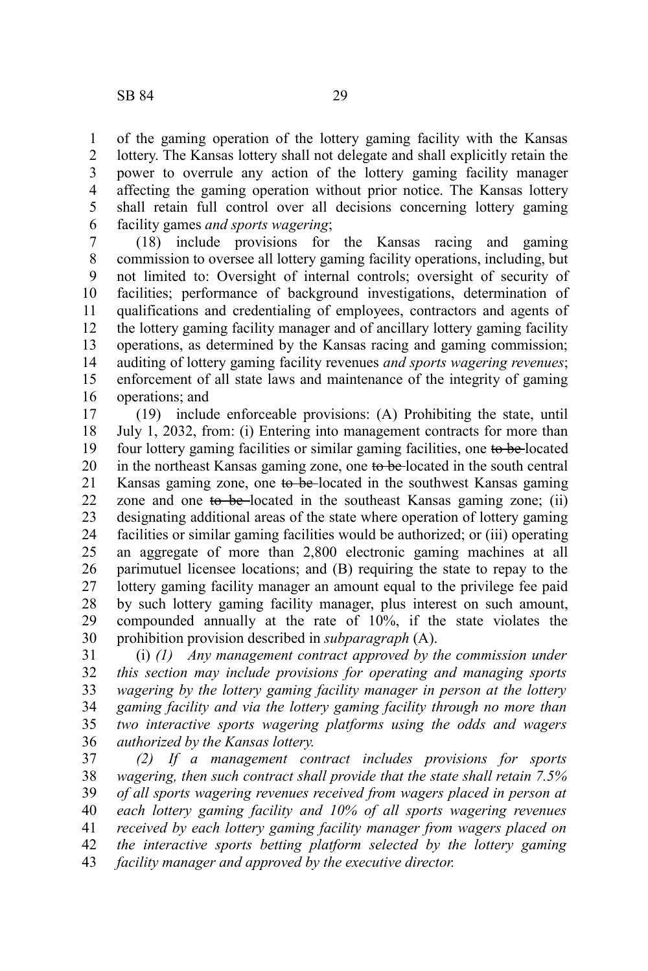of the gaming operation of the lottery gaming facility with the Kansas lottery. The Kansas lottery shall not delegate and shall explicitly retain the power to overrule any action of the lottery gaming facility manager affecting the gaming operation without prior notice. The Kansas lottery shall retain full control over all decisions concerning lottery gaming facility games *and sports wagering*; 1 2 3 4 5 6

(18) include provisions for the Kansas racing and gaming commission to oversee all lottery gaming facility operations, including, but not limited to: Oversight of internal controls; oversight of security of facilities; performance of background investigations, determination of qualifications and credentialing of employees, contractors and agents of the lottery gaming facility manager and of ancillary lottery gaming facility operations, as determined by the Kansas racing and gaming commission; auditing of lottery gaming facility revenues *and sports wagering revenues*; enforcement of all state laws and maintenance of the integrity of gaming operations; and 7 8 9 10 11 12 13 14 15 16

(19) include enforceable provisions: (A) Prohibiting the state, until July 1, 2032, from: (i) Entering into management contracts for more than four lottery gaming facilities or similar gaming facilities, one to be located in the northeast Kansas gaming zone, one to be located in the south central Kansas gaming zone, one to be-located in the southwest Kansas gaming zone and one to be located in the southeast Kansas gaming zone; (ii) designating additional areas of the state where operation of lottery gaming facilities or similar gaming facilities would be authorized; or (iii) operating an aggregate of more than 2,800 electronic gaming machines at all parimutuel licensee locations; and (B) requiring the state to repay to the lottery gaming facility manager an amount equal to the privilege fee paid by such lottery gaming facility manager, plus interest on such amount, compounded annually at the rate of 10%, if the state violates the prohibition provision described in *subparagraph* (A). 17 18 19 20 21 22 23 24 25 26 27 28 29 30

(i) *(1) Any management contract approved by the commission under this section may include provisions for operating and managing sports wagering by the lottery gaming facility manager in person at the lottery gaming facility and via the lottery gaming facility through no more than two interactive sports wagering platforms using the odds and wagers authorized by the Kansas lottery.* 31 32 33 34 35 36

*(2) If a management contract includes provisions for sports wagering, then such contract shall provide that the state shall retain 7.5% of all sports wagering revenues received from wagers placed in person at each lottery gaming facility and 10% of all sports wagering revenues received by each lottery gaming facility manager from wagers placed on the interactive sports betting platform selected by the lottery gaming facility manager and approved by the executive director.* 37 38 39 40 41 42 43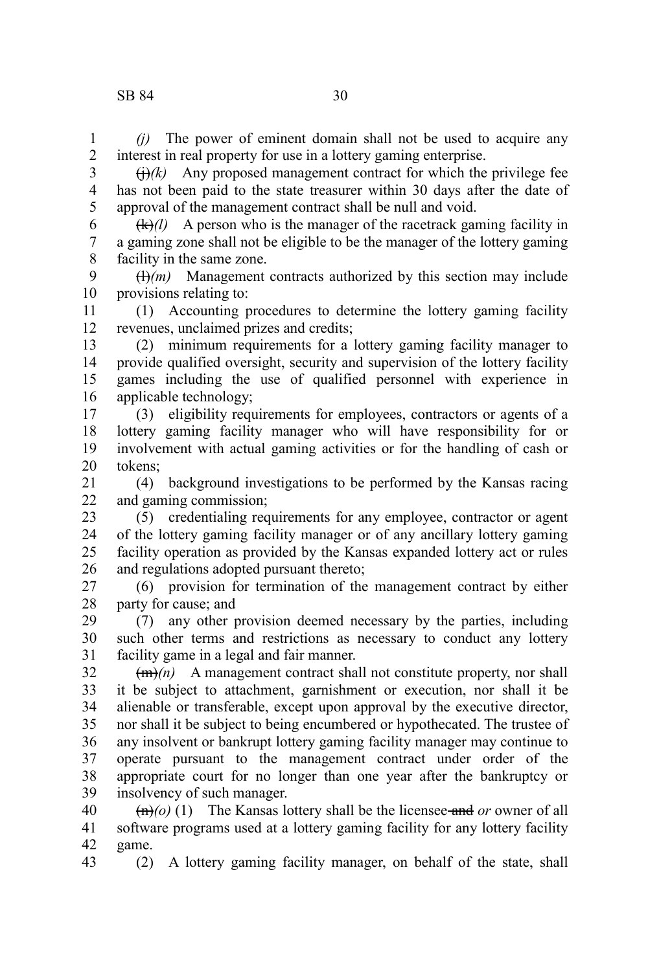*(j)* The power of eminent domain shall not be used to acquire any interest in real property for use in a lottery gaming enterprise. 1 2

 $\overrightarrow{(h)}(k)$  Any proposed management contract for which the privilege fee has not been paid to the state treasurer within 30 days after the date of approval of the management contract shall be null and void. 3 4 5

 $(k)/l$  A person who is the manager of the racetrack gaming facility in a gaming zone shall not be eligible to be the manager of the lottery gaming facility in the same zone. 6 7 8

 $\left(\frac{H}{m}\right)$  Management contracts authorized by this section may include provisions relating to: 9 10

(1) Accounting procedures to determine the lottery gaming facility revenues, unclaimed prizes and credits; 11 12

(2) minimum requirements for a lottery gaming facility manager to provide qualified oversight, security and supervision of the lottery facility games including the use of qualified personnel with experience in applicable technology; 13 14 15 16

(3) eligibility requirements for employees, contractors or agents of a lottery gaming facility manager who will have responsibility for or involvement with actual gaming activities or for the handling of cash or tokens; 17 18 19 20

(4) background investigations to be performed by the Kansas racing and gaming commission; 21 22

(5) credentialing requirements for any employee, contractor or agent of the lottery gaming facility manager or of any ancillary lottery gaming facility operation as provided by the Kansas expanded lottery act or rules and regulations adopted pursuant thereto; 23 24 25 26

(6) provision for termination of the management contract by either party for cause; and 27 28

(7) any other provision deemed necessary by the parties, including such other terms and restrictions as necessary to conduct any lottery facility game in a legal and fair manner. 29 30 31

 $(m)$  A management contract shall not constitute property, nor shall it be subject to attachment, garnishment or execution, nor shall it be alienable or transferable, except upon approval by the executive director, nor shall it be subject to being encumbered or hypothecated. The trustee of any insolvent or bankrupt lottery gaming facility manager may continue to operate pursuant to the management contract under order of the appropriate court for no longer than one year after the bankruptcy or insolvency of such manager. 32 33 34 35 36 37 38 39

 $\left(\frac{m}{0}\right)(1)$  The Kansas lottery shall be the licensee-and *or* owner of all software programs used at a lottery gaming facility for any lottery facility game. 40 41 42

(2) A lottery gaming facility manager, on behalf of the state, shall 43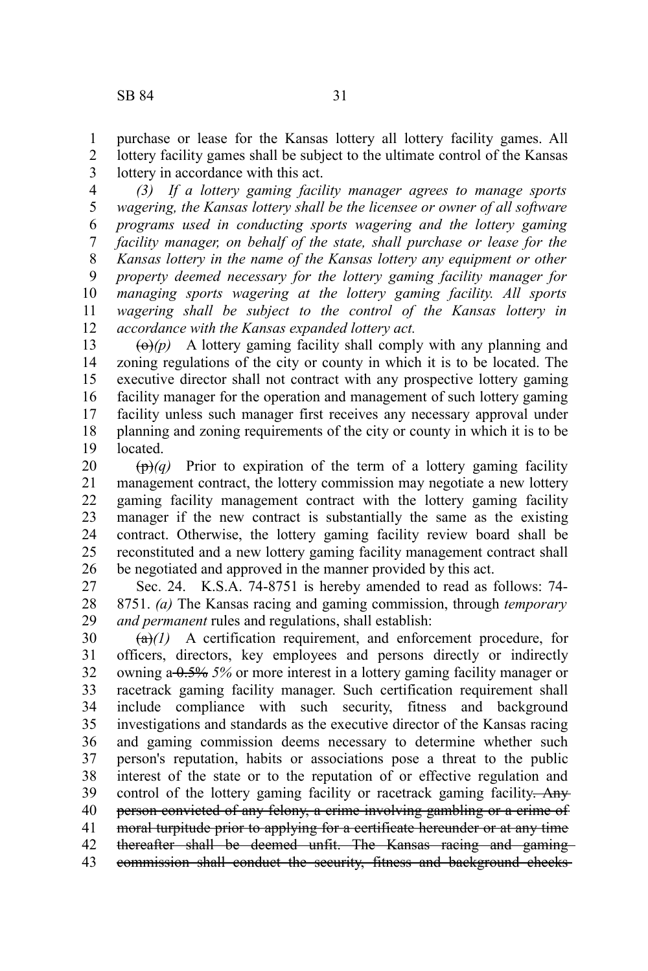purchase or lease for the Kansas lottery all lottery facility games. All lottery facility games shall be subject to the ultimate control of the Kansas lottery in accordance with this act. 1 2 3

*(3) If a lottery gaming facility manager agrees to manage sports wagering, the Kansas lottery shall be the licensee or owner of all software programs used in conducting sports wagering and the lottery gaming facility manager, on behalf of the state, shall purchase or lease for the Kansas lottery in the name of the Kansas lottery any equipment or other property deemed necessary for the lottery gaming facility manager for managing sports wagering at the lottery gaming facility. All sports wagering shall be subject to the control of the Kansas lottery in accordance with the Kansas expanded lottery act.* 4 5 6 7 8 9 10 11 12

 $\left(\Theta\right)(p)$  A lottery gaming facility shall comply with any planning and zoning regulations of the city or county in which it is to be located. The executive director shall not contract with any prospective lottery gaming facility manager for the operation and management of such lottery gaming facility unless such manager first receives any necessary approval under planning and zoning requirements of the city or county in which it is to be located. 13 14 15 16 17 18 19

 $(\mathbf{p})$ *(q)* Prior to expiration of the term of a lottery gaming facility management contract, the lottery commission may negotiate a new lottery gaming facility management contract with the lottery gaming facility manager if the new contract is substantially the same as the existing contract. Otherwise, the lottery gaming facility review board shall be reconstituted and a new lottery gaming facility management contract shall be negotiated and approved in the manner provided by this act. 20 21 22 23 24 25 26

Sec. 24. K.S.A. 74-8751 is hereby amended to read as follows: 74- 8751. *(a)* The Kansas racing and gaming commission, through *temporary and permanent* rules and regulations, shall establish: 27 28 29

 $(a)(1)$  A certification requirement, and enforcement procedure, for officers, directors, key employees and persons directly or indirectly owning a 0.5% *5%* or more interest in a lottery gaming facility manager or racetrack gaming facility manager. Such certification requirement shall include compliance with such security, fitness and background investigations and standards as the executive director of the Kansas racing and gaming commission deems necessary to determine whether such person's reputation, habits or associations pose a threat to the public interest of the state or to the reputation of or effective regulation and control of the lottery gaming facility or racetrack gaming facility. Any person convicted of any felony, a crime involving gambling or a crime of moral turpitude prior to applying for a certificate hereunder or at any time thereafter shall be deemed unfit. The Kansas racing and gaming commission shall conduct the security, fitness and background checks 30 31 32 33 34 35 36 37 38 39 40 41 42 43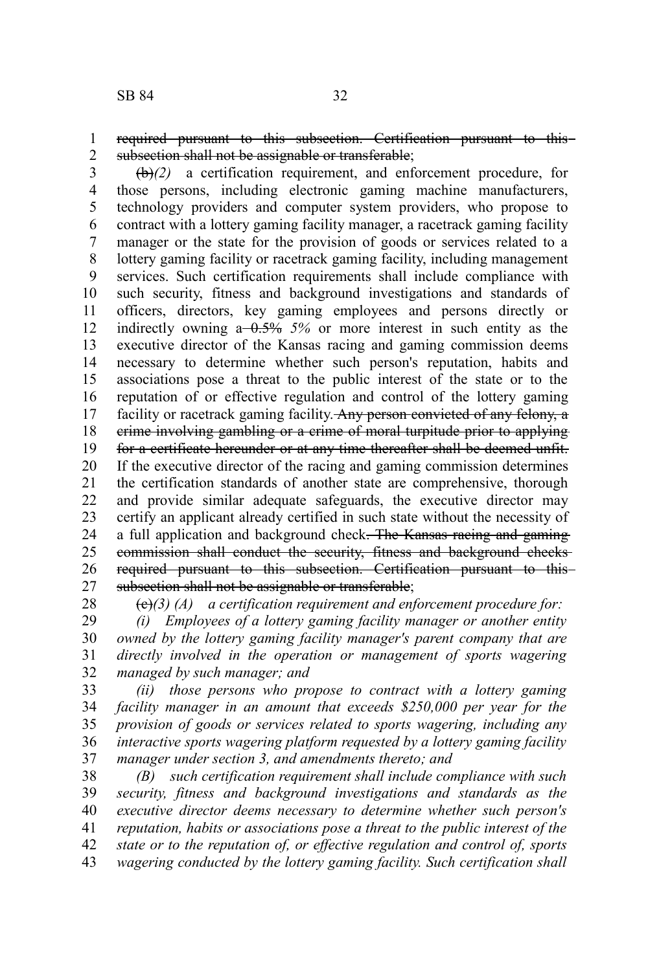required pursuant to this subsection. Certification pursuant to this subsection shall not be assignable or transferable; 1 2

(b)*(2)* a certification requirement, and enforcement procedure, for those persons, including electronic gaming machine manufacturers, technology providers and computer system providers, who propose to contract with a lottery gaming facility manager, a racetrack gaming facility manager or the state for the provision of goods or services related to a lottery gaming facility or racetrack gaming facility, including management services. Such certification requirements shall include compliance with such security, fitness and background investigations and standards of officers, directors, key gaming employees and persons directly or indirectly owning a 0.5% *5%* or more interest in such entity as the executive director of the Kansas racing and gaming commission deems necessary to determine whether such person's reputation, habits and associations pose a threat to the public interest of the state or to the reputation of or effective regulation and control of the lottery gaming facility or racetrack gaming facility. Any person convicted of any felony, a crime involving gambling or a crime of moral turpitude prior to applying for a certificate hereunder or at any time thereafter shall be deemed unfit. If the executive director of the racing and gaming commission determines the certification standards of another state are comprehensive, thorough and provide similar adequate safeguards, the executive director may certify an applicant already certified in such state without the necessity of a full application and background check. The Kansas racing and gaming commission shall conduct the security, fitness and background checks required pursuant to this subsection. Certification pursuant to this subsection shall not be assignable or transferable; 3 4 5 6 7 8 9 10 11 12 13 14 15 16 17 18 19 20 21 22 23 24 25 26 27

28

(c)*(3) (A) a certification requirement and enforcement procedure for:*

*(i) Employees of a lottery gaming facility manager or another entity owned by the lottery gaming facility manager's parent company that are directly involved in the operation or management of sports wagering managed by such manager; and* 29 30 31 32

*(ii) those persons who propose to contract with a lottery gaming facility manager in an amount that exceeds \$250,000 per year for the provision of goods or services related to sports wagering, including any interactive sports wagering platform requested by a lottery gaming facility manager under section 3, and amendments thereto; and* 33 34 35 36 37

*(B) such certification requirement shall include compliance with such security, fitness and background investigations and standards as the executive director deems necessary to determine whether such person's reputation, habits or associations pose a threat to the public interest of the state or to the reputation of, or effective regulation and control of, sports wagering conducted by the lottery gaming facility. Such certification shall* 38 39 40 41 42 43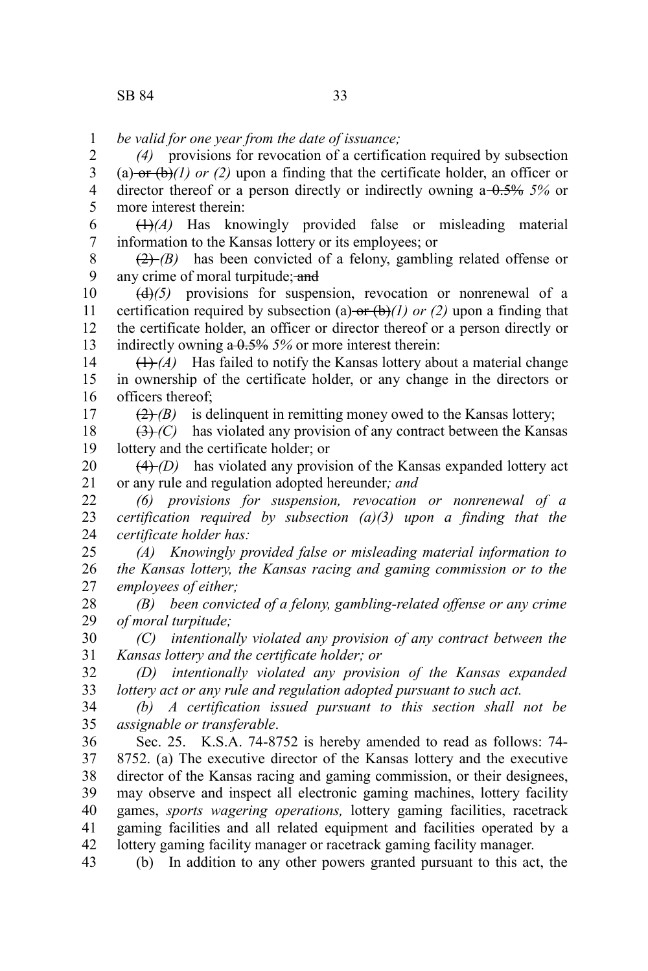17

*be valid for one year from the date of issuance;* 1

*(4)* provisions for revocation of a certification required by subsection (a) or  $(b)$ *(l) or (2)* upon a finding that the certificate holder, an officer or director thereof or a person directly or indirectly owning a 0.5% *5%* or more interest therein: 2 3 4 5

(1)*(A)* Has knowingly provided false or misleading material information to the Kansas lottery or its employees; or 6 7

(2) *(B)* has been convicted of a felony, gambling related offense or any crime of moral turpitude; and 8 9

(d)*(5)* provisions for suspension, revocation or nonrenewal of a certification required by subsection (a) or  $(b)$ *(1) or (2)* upon a finding that the certificate holder, an officer or director thereof or a person directly or indirectly owning a 0.5% *5%* or more interest therein: 10 11 12 13

 $(H)(A)$  Has failed to notify the Kansas lottery about a material change in ownership of the certificate holder, or any change in the directors or officers thereof; 14 15 16

 $(2)$  *(B)* is delinguent in remitting money owed to the Kansas lottery;

 $(3)$  *(C)* has violated any provision of any contract between the Kansas lottery and the certificate holder; or 18 19

 $(4)$  *(D)* has violated any provision of the Kansas expanded lottery act or any rule and regulation adopted hereunder*; and* 20 21

*(6) provisions for suspension, revocation or nonrenewal of a certification required by subsection (a)(3) upon a finding that the certificate holder has:* 22 23 24

*(A) Knowingly provided false or misleading material information to the Kansas lottery, the Kansas racing and gaming commission or to the employees of either;* 25 26 27

*(B) been convicted of a felony, gambling-related offense or any crime of moral turpitude;* 28 29

*(C) intentionally violated any provision of any contract between the Kansas lottery and the certificate holder; or* 30 31

*(D) intentionally violated any provision of the Kansas expanded lottery act or any rule and regulation adopted pursuant to such act.* 32 33

*(b) A certification issued pursuant to this section shall not be assignable or transferable*. 34 35

Sec. 25. K.S.A. 74-8752 is hereby amended to read as follows: 74- 8752. (a) The executive director of the Kansas lottery and the executive director of the Kansas racing and gaming commission, or their designees, may observe and inspect all electronic gaming machines, lottery facility games, *sports wagering operations,* lottery gaming facilities, racetrack gaming facilities and all related equipment and facilities operated by a lottery gaming facility manager or racetrack gaming facility manager. 36 37 38 39 40 41 42

(b) In addition to any other powers granted pursuant to this act, the 43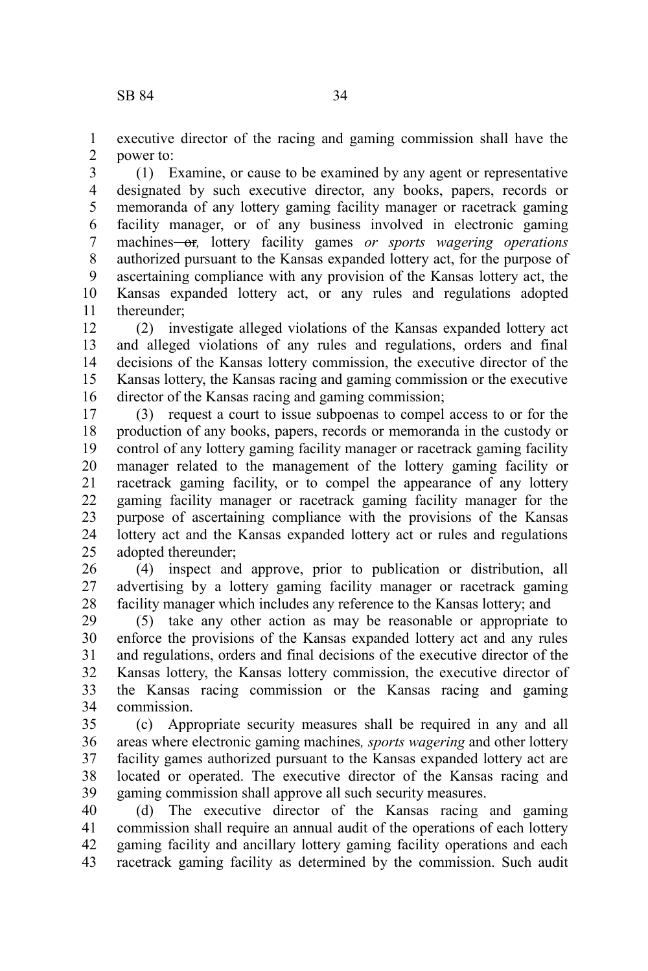executive director of the racing and gaming commission shall have the power to: 1 2

(1) Examine, or cause to be examined by any agent or representative designated by such executive director, any books, papers, records or memoranda of any lottery gaming facility manager or racetrack gaming facility manager, or of any business involved in electronic gaming machines<del> or</del>, lottery facility games *or sports wagering operations* authorized pursuant to the Kansas expanded lottery act, for the purpose of ascertaining compliance with any provision of the Kansas lottery act, the Kansas expanded lottery act, or any rules and regulations adopted thereunder; 3 4 5 6 7 8 9 10 11

(2) investigate alleged violations of the Kansas expanded lottery act and alleged violations of any rules and regulations, orders and final decisions of the Kansas lottery commission, the executive director of the Kansas lottery, the Kansas racing and gaming commission or the executive director of the Kansas racing and gaming commission; 12 13 14 15 16

(3) request a court to issue subpoenas to compel access to or for the production of any books, papers, records or memoranda in the custody or control of any lottery gaming facility manager or racetrack gaming facility manager related to the management of the lottery gaming facility or racetrack gaming facility, or to compel the appearance of any lottery gaming facility manager or racetrack gaming facility manager for the purpose of ascertaining compliance with the provisions of the Kansas lottery act and the Kansas expanded lottery act or rules and regulations adopted thereunder; 17 18 19 20 21 22 23 24 25

(4) inspect and approve, prior to publication or distribution, all advertising by a lottery gaming facility manager or racetrack gaming facility manager which includes any reference to the Kansas lottery; and 26 27 28

(5) take any other action as may be reasonable or appropriate to enforce the provisions of the Kansas expanded lottery act and any rules and regulations, orders and final decisions of the executive director of the Kansas lottery, the Kansas lottery commission, the executive director of the Kansas racing commission or the Kansas racing and gaming commission. 29 30 31 32 33 34

(c) Appropriate security measures shall be required in any and all areas where electronic gaming machines*, sports wagering* and other lottery facility games authorized pursuant to the Kansas expanded lottery act are located or operated. The executive director of the Kansas racing and gaming commission shall approve all such security measures. 35 36 37 38 39

(d) The executive director of the Kansas racing and gaming commission shall require an annual audit of the operations of each lottery gaming facility and ancillary lottery gaming facility operations and each racetrack gaming facility as determined by the commission. Such audit 40 41 42 43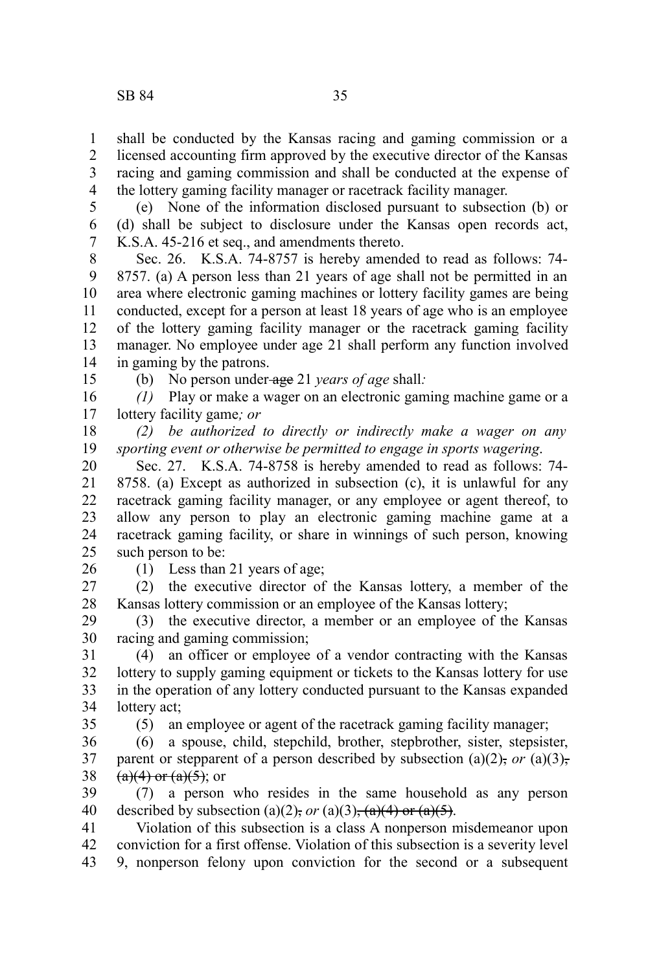shall be conducted by the Kansas racing and gaming commission or a licensed accounting firm approved by the executive director of the Kansas racing and gaming commission and shall be conducted at the expense of the lottery gaming facility manager or racetrack facility manager. 1 2 3 4

(e) None of the information disclosed pursuant to subsection (b) or (d) shall be subject to disclosure under the Kansas open records act, K.S.A. 45-216 et seq., and amendments thereto. 5 6 7

Sec. 26. K.S.A. 74-8757 is hereby amended to read as follows: 74- 8757. (a) A person less than 21 years of age shall not be permitted in an area where electronic gaming machines or lottery facility games are being conducted, except for a person at least 18 years of age who is an employee of the lottery gaming facility manager or the racetrack gaming facility manager. No employee under age 21 shall perform any function involved in gaming by the patrons. 8 9 10 11 12 13 14

15

(b) No person under age 21 *years of age* shall*:*

*(1)* Play or make a wager on an electronic gaming machine game or a lottery facility game*; or* 16 17

*(2) be authorized to directly or indirectly make a wager on any sporting event or otherwise be permitted to engage in sports wagering*. 18 19

Sec. 27. K.S.A. 74-8758 is hereby amended to read as follows: 74- 8758. (a) Except as authorized in subsection (c), it is unlawful for any racetrack gaming facility manager, or any employee or agent thereof, to allow any person to play an electronic gaming machine game at a racetrack gaming facility, or share in winnings of such person, knowing such person to be: 20 21 22 23 24 25

26

(1) Less than 21 years of age;

(2) the executive director of the Kansas lottery, a member of the Kansas lottery commission or an employee of the Kansas lottery; 27 28

(3) the executive director, a member or an employee of the Kansas racing and gaming commission; 29 30

(4) an officer or employee of a vendor contracting with the Kansas lottery to supply gaming equipment or tickets to the Kansas lottery for use in the operation of any lottery conducted pursuant to the Kansas expanded lottery act; 31 32 33 34

35

(5) an employee or agent of the racetrack gaming facility manager;

(6) a spouse, child, stepchild, brother, stepbrother, sister, stepsister, parent or stepparent of a person described by subsection (a)(2), or (a)(3),  $(a)(4)$  or  $(a)(5)$ ; or 36 37 38

(7) a person who resides in the same household as any person described by subsection (a)(2), or (a)(3),  $(a)(4)$  or  $(a)(5)$ . 39 40

Violation of this subsection is a class A nonperson misdemeanor upon conviction for a first offense. Violation of this subsection is a severity level 9, nonperson felony upon conviction for the second or a subsequent 41 42 43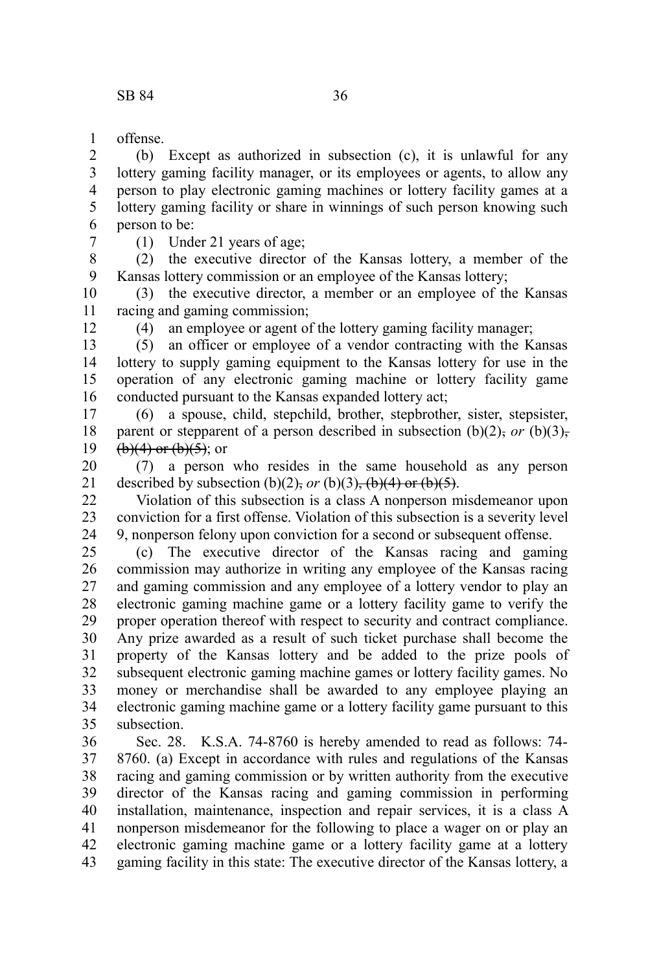offense. 1

(b) Except as authorized in subsection (c), it is unlawful for any lottery gaming facility manager, or its employees or agents, to allow any person to play electronic gaming machines or lottery facility games at a lottery gaming facility or share in winnings of such person knowing such person to be: 2 3 4 5 6

7

(1) Under 21 years of age;

(2) the executive director of the Kansas lottery, a member of the Kansas lottery commission or an employee of the Kansas lottery; 8 9

(3) the executive director, a member or an employee of the Kansas racing and gaming commission; 10 11

12

(4) an employee or agent of the lottery gaming facility manager;

(5) an officer or employee of a vendor contracting with the Kansas lottery to supply gaming equipment to the Kansas lottery for use in the operation of any electronic gaming machine or lottery facility game conducted pursuant to the Kansas expanded lottery act; 13 14 15 16

(6) a spouse, child, stepchild, brother, stepbrother, sister, stepsister, parent or stepparent of a person described in subsection  $(b)(2)$ , *or*  $(b)(3)$ ,  $(b)(4)$  or  $(b)(5)$ ; or 17 18 19

(7) a person who resides in the same household as any person described by subsection (b)(2), *or* (b)(3),  $(b)(4)$  or (b)(5). 20 21

Violation of this subsection is a class A nonperson misdemeanor upon conviction for a first offense. Violation of this subsection is a severity level 9, nonperson felony upon conviction for a second or subsequent offense. 22 23 24

(c) The executive director of the Kansas racing and gaming commission may authorize in writing any employee of the Kansas racing and gaming commission and any employee of a lottery vendor to play an electronic gaming machine game or a lottery facility game to verify the proper operation thereof with respect to security and contract compliance. Any prize awarded as a result of such ticket purchase shall become the property of the Kansas lottery and be added to the prize pools of subsequent electronic gaming machine games or lottery facility games. No money or merchandise shall be awarded to any employee playing an electronic gaming machine game or a lottery facility game pursuant to this subsection. 25 26 27 28 29 30 31 32 33 34 35

Sec. 28. K.S.A. 74-8760 is hereby amended to read as follows: 74- 8760. (a) Except in accordance with rules and regulations of the Kansas racing and gaming commission or by written authority from the executive director of the Kansas racing and gaming commission in performing installation, maintenance, inspection and repair services, it is a class A nonperson misdemeanor for the following to place a wager on or play an electronic gaming machine game or a lottery facility game at a lottery gaming facility in this state: The executive director of the Kansas lottery, a 36 37 38 39 40 41 42 43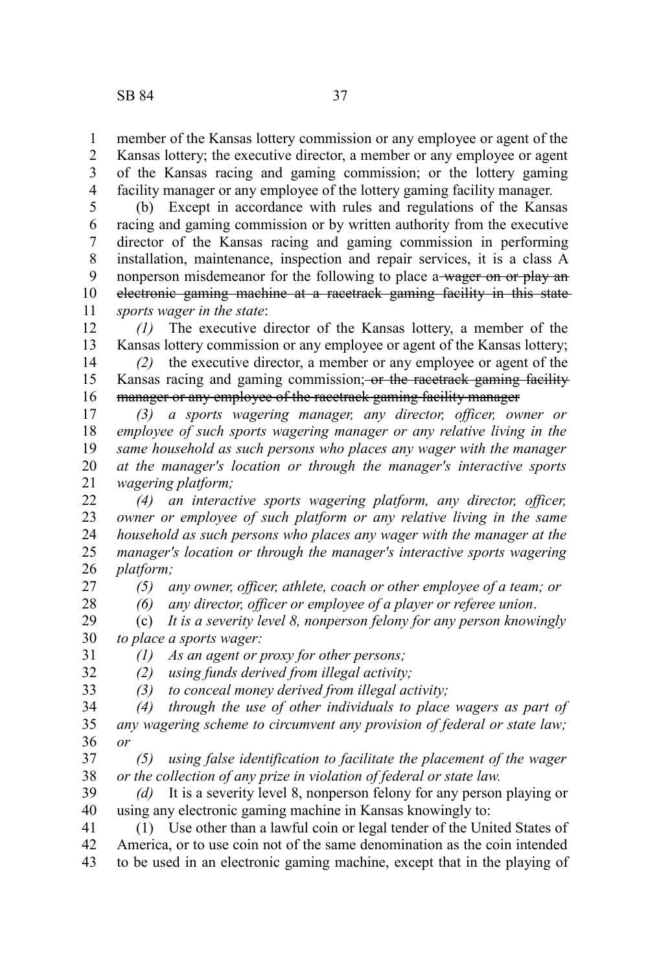member of the Kansas lottery commission or any employee or agent of the Kansas lottery; the executive director, a member or any employee or agent of the Kansas racing and gaming commission; or the lottery gaming facility manager or any employee of the lottery gaming facility manager. 1 2 3 4

(b) Except in accordance with rules and regulations of the Kansas racing and gaming commission or by written authority from the executive director of the Kansas racing and gaming commission in performing installation, maintenance, inspection and repair services, it is a class A nonperson misdemeanor for the following to place a wager on or play an electronic gaming machine at a racetrack gaming facility in this state *sports wager in the state*: 5 6 7 8 9 10 11

*(1)* The executive director of the Kansas lottery, a member of the Kansas lottery commission or any employee or agent of the Kansas lottery; 12 13

*(2)* the executive director, a member or any employee or agent of the Kansas racing and gaming commission; or the racetrack gaming facility manager or any employee of the racetrack gaming facility manager 14 15 16

*(3) a sports wagering manager, any director, officer, owner or employee of such sports wagering manager or any relative living in the same household as such persons who places any wager with the manager at the manager's location or through the manager's interactive sports wagering platform;* 17 18 19 20 21

*(4) an interactive sports wagering platform, any director, officer, owner or employee of such platform or any relative living in the same household as such persons who places any wager with the manager at the manager's location or through the manager's interactive sports wagering platform;* 22 23 24 25 26

27 28

33

*(5) any owner, officer, athlete, coach or other employee of a team; or*

*(6) any director, officer or employee of a player or referee union*.

(c) *It is a severity level 8, nonperson felony for any person knowingly to place a sports wager:* 29 30 31

*(1) As an agent or proxy for other persons;*

*(2) using funds derived from illegal activity;* 32

*(3) to conceal money derived from illegal activity;*

*(4) through the use of other individuals to place wagers as part of any wagering scheme to circumvent any provision of federal or state law; or* 34 35 36

*(5) using false identification to facilitate the placement of the wager or the collection of any prize in violation of federal or state law.* 37 38

*(d)* It is a severity level 8, nonperson felony for any person playing or using any electronic gaming machine in Kansas knowingly to: 39 40

(1) Use other than a lawful coin or legal tender of the United States of America, or to use coin not of the same denomination as the coin intended to be used in an electronic gaming machine, except that in the playing of 41 42 43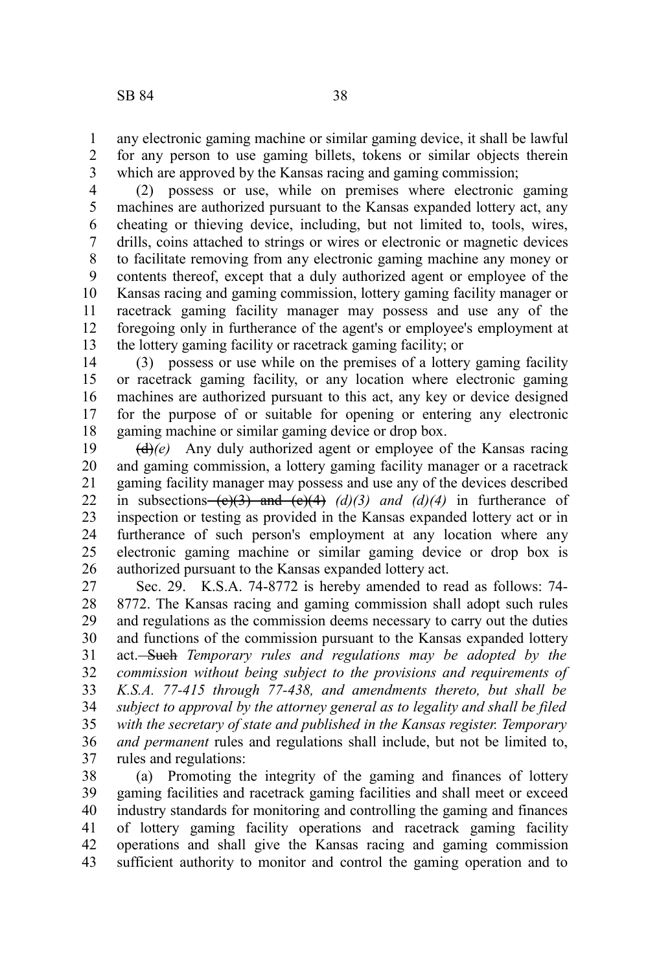any electronic gaming machine or similar gaming device, it shall be lawful for any person to use gaming billets, tokens or similar objects therein which are approved by the Kansas racing and gaming commission; 1 2 3

(2) possess or use, while on premises where electronic gaming machines are authorized pursuant to the Kansas expanded lottery act, any cheating or thieving device, including, but not limited to, tools, wires, drills, coins attached to strings or wires or electronic or magnetic devices to facilitate removing from any electronic gaming machine any money or contents thereof, except that a duly authorized agent or employee of the Kansas racing and gaming commission, lottery gaming facility manager or racetrack gaming facility manager may possess and use any of the foregoing only in furtherance of the agent's or employee's employment at the lottery gaming facility or racetrack gaming facility; or 4 5 6 7 8 9 10 11 12 13

(3) possess or use while on the premises of a lottery gaming facility or racetrack gaming facility, or any location where electronic gaming machines are authorized pursuant to this act, any key or device designed for the purpose of or suitable for opening or entering any electronic gaming machine or similar gaming device or drop box. 14 15 16 17 18

(d)*(e)* Any duly authorized agent or employee of the Kansas racing and gaming commission, a lottery gaming facility manager or a racetrack gaming facility manager may possess and use any of the devices described in subsections  $(e)(3)$  and  $(e)(4)$   $(d)(3)$  and  $(d)(4)$  in furtherance of inspection or testing as provided in the Kansas expanded lottery act or in furtherance of such person's employment at any location where any electronic gaming machine or similar gaming device or drop box is authorized pursuant to the Kansas expanded lottery act. 19 20 21 22 23 24 25 26

Sec. 29. K.S.A. 74-8772 is hereby amended to read as follows: 74- 8772. The Kansas racing and gaming commission shall adopt such rules and regulations as the commission deems necessary to carry out the duties and functions of the commission pursuant to the Kansas expanded lottery act. Such *Temporary rules and regulations may be adopted by the commission without being subject to the provisions and requirements of K.S.A. 77-415 through 77-438, and amendments thereto, but shall be subject to approval by the attorney general as to legality and shall be filed with the secretary of state and published in the Kansas register. Temporary and permanent* rules and regulations shall include, but not be limited to, rules and regulations: 27 28 29 30 31 32 33 34 35 36 37

(a) Promoting the integrity of the gaming and finances of lottery gaming facilities and racetrack gaming facilities and shall meet or exceed industry standards for monitoring and controlling the gaming and finances of lottery gaming facility operations and racetrack gaming facility operations and shall give the Kansas racing and gaming commission sufficient authority to monitor and control the gaming operation and to 38 39 40 41 42 43